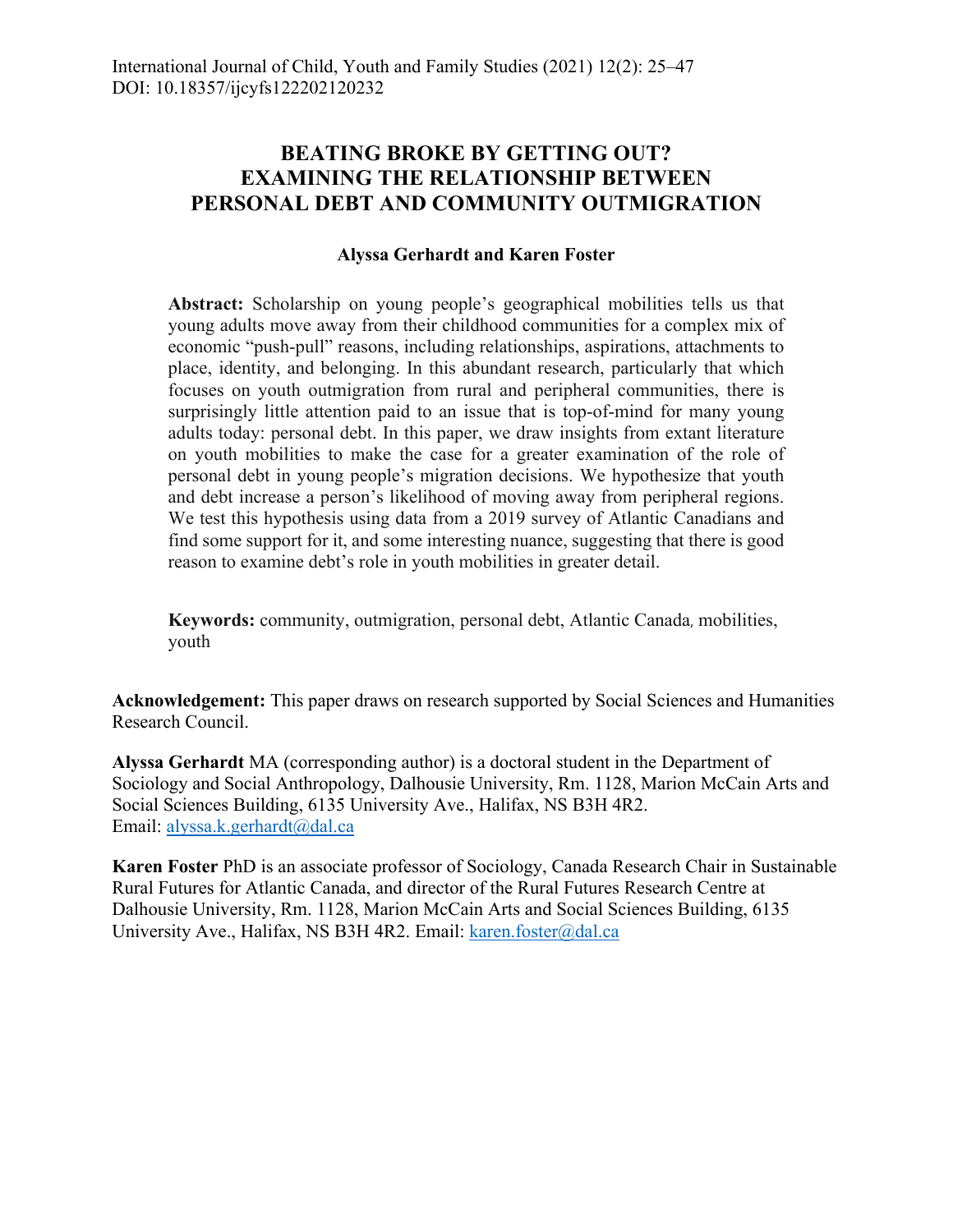## **BEATING BROKE BY GETTING OUT? EXAMINING THE RELATIONSHIP BETWEEN PERSONAL DEBT AND COMMUNITY OUTMIGRATION**

## **Alyssa Gerhardt and Karen Foster**

**Abstract:** Scholarship on young people's geographical mobilities tells us that young adults move away from their childhood communities for a complex mix of economic "push-pull" reasons, including relationships, aspirations, attachments to place, identity, and belonging. In this abundant research, particularly that which focuses on youth outmigration from rural and peripheral communities, there is surprisingly little attention paid to an issue that is top-of-mind for many young adults today: personal debt. In this paper, we draw insights from extant literature on youth mobilities to make the case for a greater examination of the role of personal debt in young people's migration decisions. We hypothesize that youth and debt increase a person's likelihood of moving away from peripheral regions. We test this hypothesis using data from a 2019 survey of Atlantic Canadians and find some support for it, and some interesting nuance, suggesting that there is good reason to examine debt's role in youth mobilities in greater detail.

**Keywords:** community, outmigration, personal debt, Atlantic Canada, mobilities, youth

**Acknowledgement:** This paper draws on research supported by Social Sciences and Humanities Research Council.

**Alyssa Gerhardt** MA (corresponding author) is a doctoral student in the Department of Sociology and Social Anthropology, Dalhousie University, Rm. 1128, Marion McCain Arts and Social Sciences Building, 6135 University Ave., Halifax, NS B3H 4R2. Email: alyssa.k.gerhardt@dal.ca

**Karen Foster** PhD is an associate professor of Sociology, Canada Research Chair in Sustainable Rural Futures for Atlantic Canada, and director of the Rural Futures Research Centre at Dalhousie University, Rm. 1128, Marion McCain Arts and Social Sciences Building, 6135 University Ave., Halifax, NS B3H 4R2. Email: karen.foster@dal.ca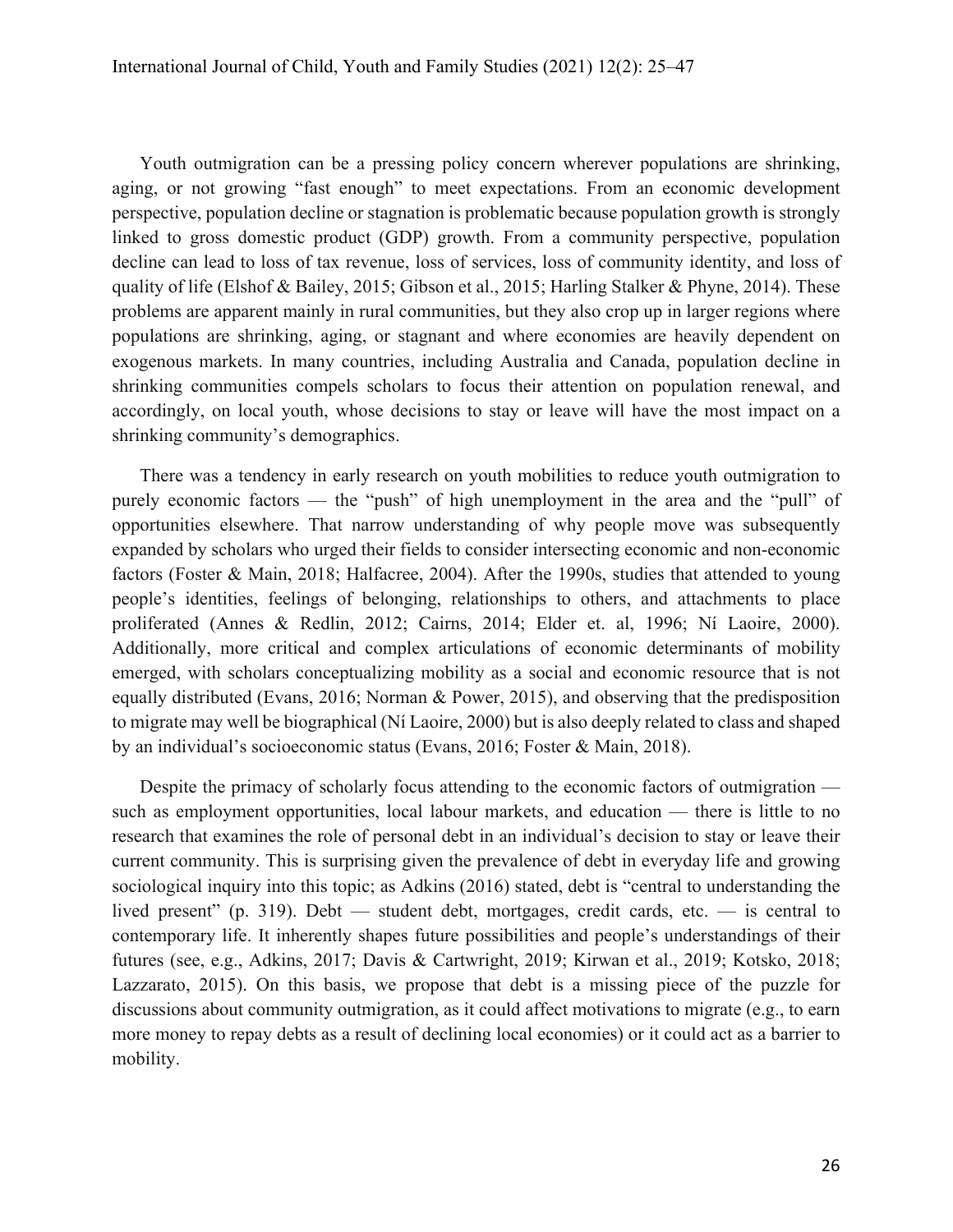Youth outmigration can be a pressing policy concern wherever populations are shrinking, aging, or not growing "fast enough" to meet expectations. From an economic development perspective, population decline or stagnation is problematic because population growth is strongly linked to gross domestic product (GDP) growth. From a community perspective, population decline can lead to loss of tax revenue, loss of services, loss of community identity, and loss of quality of life (Elshof & Bailey, 2015; Gibson et al., 2015; Harling Stalker & Phyne, 2014). These problems are apparent mainly in rural communities, but they also crop up in larger regions where populations are shrinking, aging, or stagnant and where economies are heavily dependent on exogenous markets. In many countries, including Australia and Canada, population decline in shrinking communities compels scholars to focus their attention on population renewal, and accordingly, on local youth, whose decisions to stay or leave will have the most impact on a shrinking community's demographics.

There was a tendency in early research on youth mobilities to reduce youth outmigration to purely economic factors — the "push" of high unemployment in the area and the "pull" of opportunities elsewhere. That narrow understanding of why people move was subsequently expanded by scholars who urged their fields to consider intersecting economic and non-economic factors (Foster & Main, 2018; Halfacree, 2004). After the 1990s, studies that attended to young people's identities, feelings of belonging, relationships to others, and attachments to place proliferated (Annes & Redlin, 2012; Cairns, 2014; Elder et. al, 1996; Ní Laoire, 2000). Additionally, more critical and complex articulations of economic determinants of mobility emerged, with scholars conceptualizing mobility as a social and economic resource that is not equally distributed (Evans, 2016; Norman & Power, 2015), and observing that the predisposition to migrate may well be biographical (Ní Laoire, 2000) but is also deeply related to class and shaped by an individual's socioeconomic status (Evans, 2016; Foster & Main, 2018).

Despite the primacy of scholarly focus attending to the economic factors of outmigration such as employment opportunities, local labour markets, and education — there is little to no research that examines the role of personal debt in an individual's decision to stay or leave their current community. This is surprising given the prevalence of debt in everyday life and growing sociological inquiry into this topic; as Adkins (2016) stated, debt is "central to understanding the lived present" (p. 319). Debt — student debt, mortgages, credit cards, etc. — is central to contemporary life. It inherently shapes future possibilities and people's understandings of their futures (see, e.g., Adkins, 2017; Davis & Cartwright, 2019; Kirwan et al., 2019; Kotsko, 2018; Lazzarato, 2015). On this basis, we propose that debt is a missing piece of the puzzle for discussions about community outmigration, as it could affect motivations to migrate (e.g., to earn more money to repay debts as a result of declining local economies) or it could act as a barrier to mobility.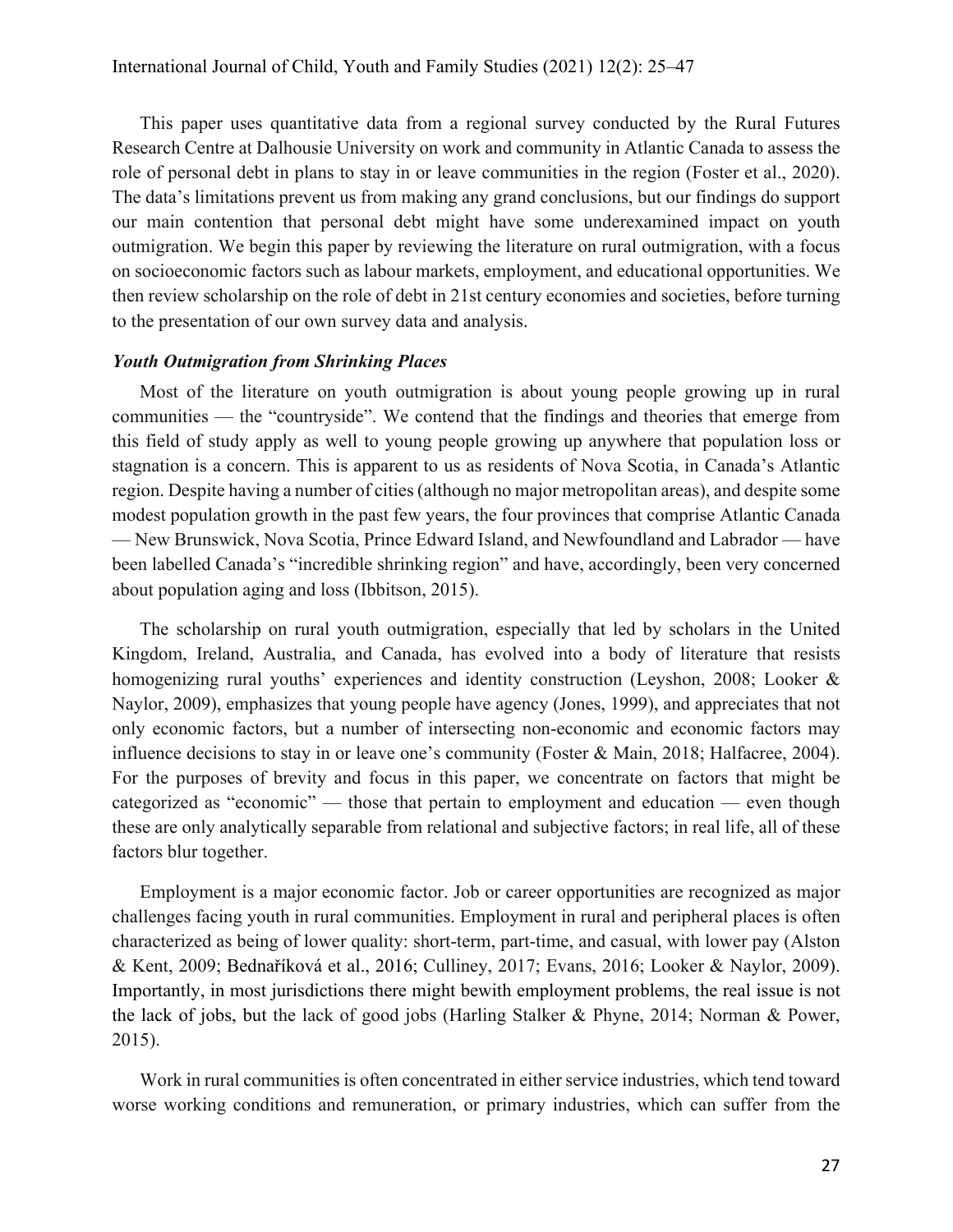This paper uses quantitative data from a regional survey conducted by the Rural Futures Research Centre at Dalhousie University on work and community in Atlantic Canada to assess the role of personal debt in plans to stay in or leave communities in the region (Foster et al., 2020). The data's limitations prevent us from making any grand conclusions, but our findings do support our main contention that personal debt might have some underexamined impact on youth outmigration. We begin this paper by reviewing the literature on rural outmigration, with a focus on socioeconomic factors such as labour markets, employment, and educational opportunities. We then review scholarship on the role of debt in 21st century economies and societies, before turning to the presentation of our own survey data and analysis.

## *Youth Outmigration from Shrinking Places*

Most of the literature on youth outmigration is about young people growing up in rural communities — the "countryside". We contend that the findings and theories that emerge from this field of study apply as well to young people growing up anywhere that population loss or stagnation is a concern. This is apparent to us as residents of Nova Scotia, in Canada's Atlantic region. Despite having a number of cities (although no major metropolitan areas), and despite some modest population growth in the past few years, the four provinces that comprise Atlantic Canada — New Brunswick, Nova Scotia, Prince Edward Island, and Newfoundland and Labrador — have been labelled Canada's "incredible shrinking region" and have, accordingly, been very concerned about population aging and loss (Ibbitson, 2015).

The scholarship on rural youth outmigration, especially that led by scholars in the United Kingdom, Ireland, Australia, and Canada, has evolved into a body of literature that resists homogenizing rural youths' experiences and identity construction (Leyshon, 2008; Looker & Naylor, 2009), emphasizes that young people have agency (Jones, 1999), and appreciates that not only economic factors, but a number of intersecting non-economic and economic factors may influence decisions to stay in or leave one's community (Foster & Main, 2018; Halfacree, 2004). For the purposes of brevity and focus in this paper, we concentrate on factors that might be categorized as "economic" — those that pertain to employment and education — even though these are only analytically separable from relational and subjective factors; in real life, all of these factors blur together.

Employment is a major economic factor. Job or career opportunities are recognized as major challenges facing youth in rural communities. Employment in rural and peripheral places is often characterized as being of lower quality: short-term, part-time, and casual, with lower pay (Alston & Kent, 2009; Bednaříková et al., 2016; Culliney, 2017; Evans, 2016; Looker & Naylor, 2009). Importantly, in most jurisdictions there might bewith employment problems, the real issue is not the lack of jobs, but the lack of good jobs (Harling Stalker & Phyne, 2014; Norman & Power, 2015).

Work in rural communities is often concentrated in either service industries, which tend toward worse working conditions and remuneration, or primary industries, which can suffer from the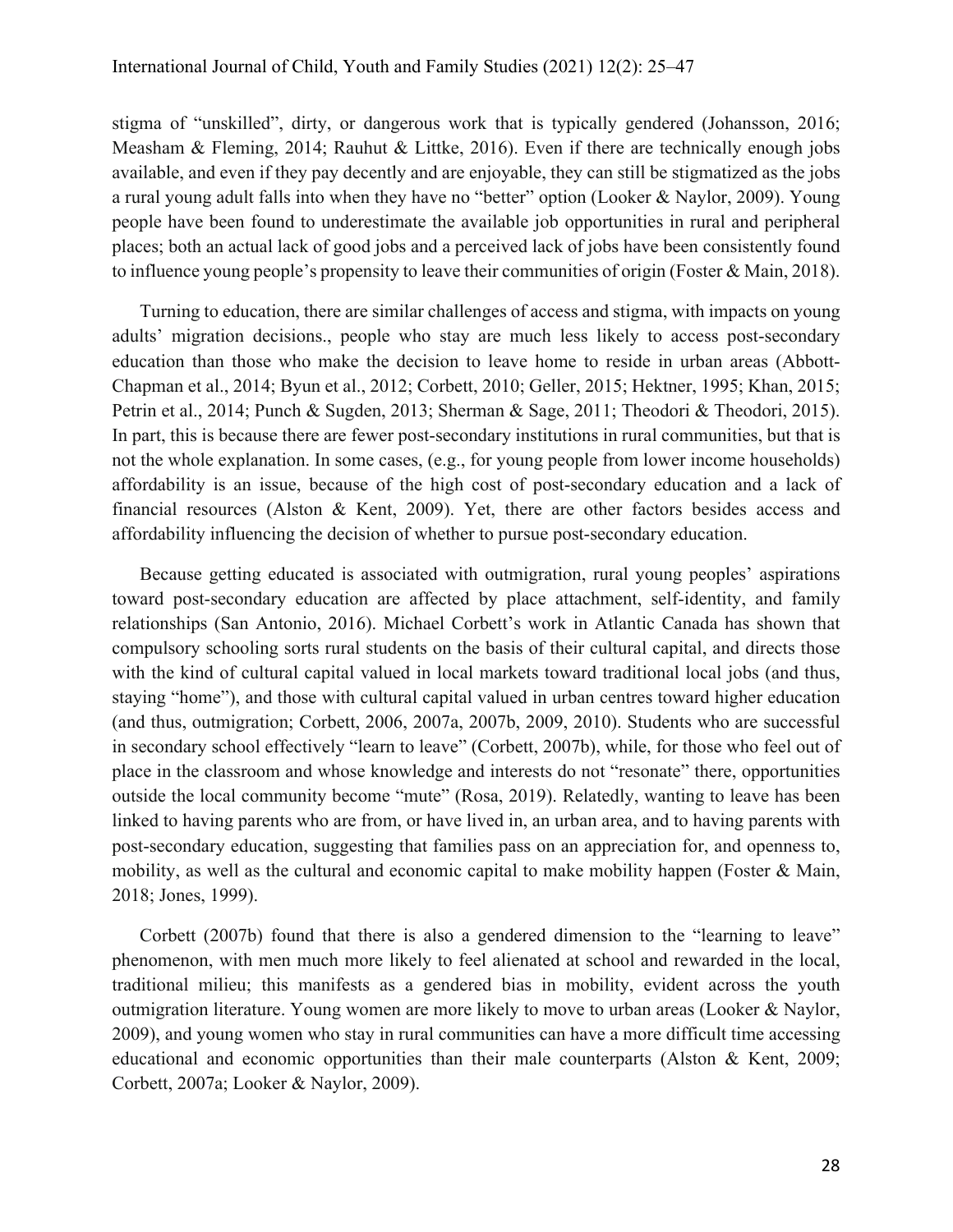stigma of "unskilled", dirty, or dangerous work that is typically gendered (Johansson, 2016; Measham & Fleming, 2014; Rauhut & Littke, 2016). Even if there are technically enough jobs available, and even if they pay decently and are enjoyable, they can still be stigmatized as the jobs a rural young adult falls into when they have no "better" option (Looker & Naylor, 2009). Young people have been found to underestimate the available job opportunities in rural and peripheral places; both an actual lack of good jobs and a perceived lack of jobs have been consistently found to influence young people's propensity to leave their communities of origin (Foster & Main, 2018).

Turning to education, there are similar challenges of access and stigma, with impacts on young adults' migration decisions., people who stay are much less likely to access post-secondary education than those who make the decision to leave home to reside in urban areas (Abbott-Chapman et al., 2014; Byun et al., 2012; Corbett, 2010; Geller, 2015; Hektner, 1995; Khan, 2015; Petrin et al., 2014; Punch & Sugden, 2013; Sherman & Sage, 2011; Theodori & Theodori, 2015). In part, this is because there are fewer post-secondary institutions in rural communities, but that is not the whole explanation. In some cases, (e.g., for young people from lower income households) affordability is an issue, because of the high cost of post-secondary education and a lack of financial resources (Alston & Kent, 2009). Yet, there are other factors besides access and affordability influencing the decision of whether to pursue post-secondary education.

Because getting educated is associated with outmigration, rural young peoples' aspirations toward post-secondary education are affected by place attachment, self-identity, and family relationships (San Antonio, 2016). Michael Corbett's work in Atlantic Canada has shown that compulsory schooling sorts rural students on the basis of their cultural capital, and directs those with the kind of cultural capital valued in local markets toward traditional local jobs (and thus, staying "home"), and those with cultural capital valued in urban centres toward higher education (and thus, outmigration; Corbett, 2006, 2007a, 2007b, 2009, 2010). Students who are successful in secondary school effectively "learn to leave" (Corbett, 2007b), while, for those who feel out of place in the classroom and whose knowledge and interests do not "resonate" there, opportunities outside the local community become "mute" (Rosa, 2019). Relatedly, wanting to leave has been linked to having parents who are from, or have lived in, an urban area, and to having parents with post-secondary education, suggesting that families pass on an appreciation for, and openness to, mobility, as well as the cultural and economic capital to make mobility happen (Foster & Main, 2018; Jones, 1999).

Corbett (2007b) found that there is also a gendered dimension to the "learning to leave" phenomenon, with men much more likely to feel alienated at school and rewarded in the local, traditional milieu; this manifests as a gendered bias in mobility, evident across the youth outmigration literature. Young women are more likely to move to urban areas (Looker & Naylor, 2009), and young women who stay in rural communities can have a more difficult time accessing educational and economic opportunities than their male counterparts (Alston & Kent, 2009; Corbett, 2007a; Looker & Naylor, 2009).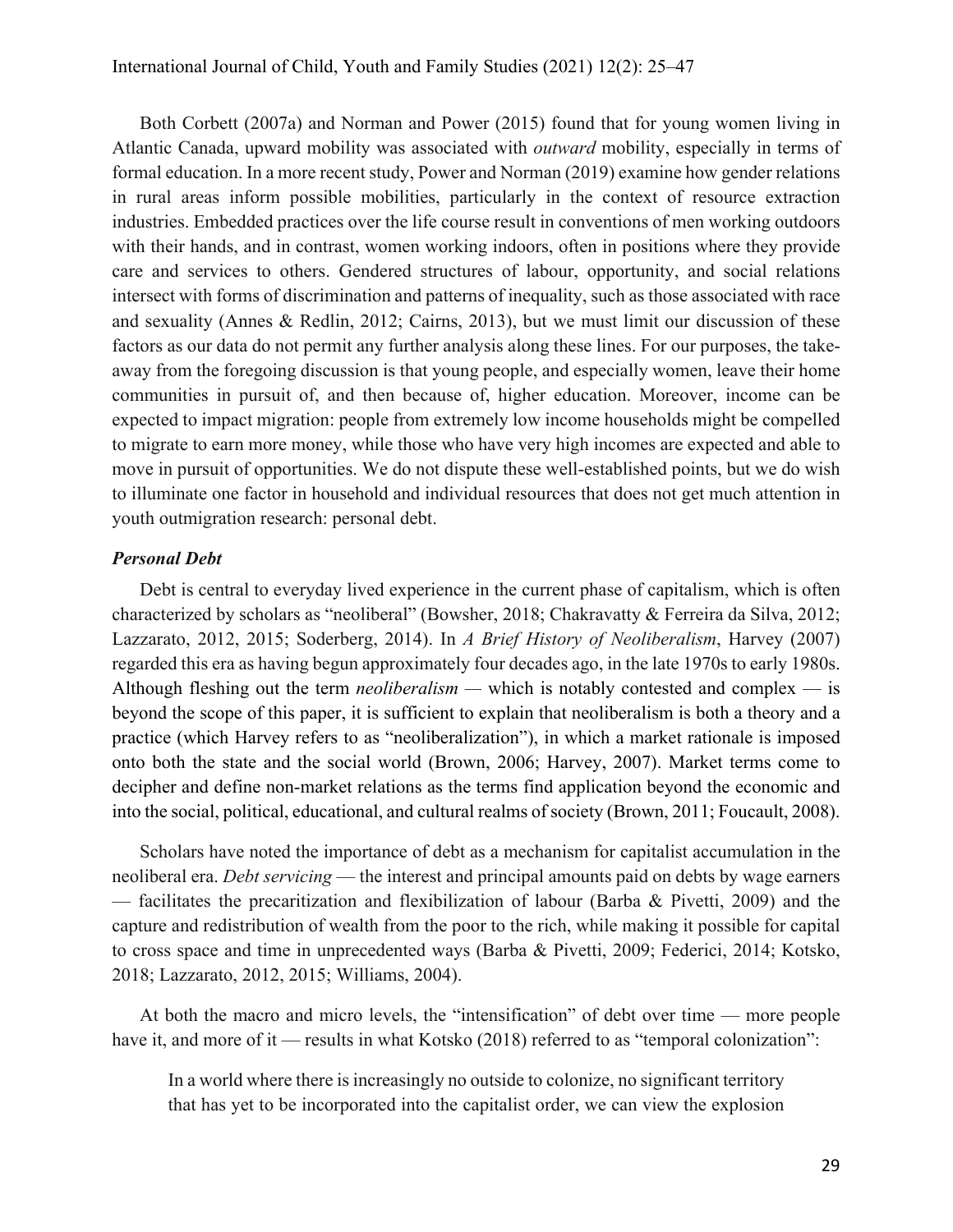Both Corbett (2007a) and Norman and Power (2015) found that for young women living in Atlantic Canada, upward mobility was associated with *outward* mobility, especially in terms of formal education. In a more recent study, Power and Norman (2019) examine how gender relations in rural areas inform possible mobilities, particularly in the context of resource extraction industries. Embedded practices over the life course result in conventions of men working outdoors with their hands, and in contrast, women working indoors, often in positions where they provide care and services to others. Gendered structures of labour, opportunity, and social relations intersect with forms of discrimination and patterns of inequality, such as those associated with race and sexuality (Annes & Redlin, 2012; Cairns, 2013), but we must limit our discussion of these factors as our data do not permit any further analysis along these lines. For our purposes, the takeaway from the foregoing discussion is that young people, and especially women, leave their home communities in pursuit of, and then because of, higher education. Moreover, income can be expected to impact migration: people from extremely low income households might be compelled to migrate to earn more money, while those who have very high incomes are expected and able to move in pursuit of opportunities. We do not dispute these well-established points, but we do wish to illuminate one factor in household and individual resources that does not get much attention in youth outmigration research: personal debt.

#### *Personal Debt*

Debt is central to everyday lived experience in the current phase of capitalism, which is often characterized by scholars as "neoliberal" (Bowsher, 2018; Chakravatty & Ferreira da Silva, 2012; Lazzarato, 2012, 2015; Soderberg, 2014). In *A Brief History of Neoliberalism*, Harvey (2007) regarded this era as having begun approximately four decades ago, in the late 1970s to early 1980s. Although fleshing out the term *neoliberalism —* which is notably contested and complex — is beyond the scope of this paper, it is sufficient to explain that neoliberalism is both a theory and a practice (which Harvey refers to as "neoliberalization"), in which a market rationale is imposed onto both the state and the social world (Brown, 2006; Harvey, 2007). Market terms come to decipher and define non-market relations as the terms find application beyond the economic and into the social, political, educational, and cultural realms of society (Brown, 2011; Foucault, 2008).

Scholars have noted the importance of debt as a mechanism for capitalist accumulation in the neoliberal era. *Debt servicing* — the interest and principal amounts paid on debts by wage earners — facilitates the precaritization and flexibilization of labour (Barba & Pivetti, 2009) and the capture and redistribution of wealth from the poor to the rich, while making it possible for capital to cross space and time in unprecedented ways (Barba & Pivetti, 2009; Federici, 2014; Kotsko, 2018; Lazzarato, 2012, 2015; Williams, 2004).

At both the macro and micro levels, the "intensification" of debt over time — more people have it, and more of it — results in what Kotsko (2018) referred to as "temporal colonization":

In a world where there is increasingly no outside to colonize, no significant territory that has yet to be incorporated into the capitalist order, we can view the explosion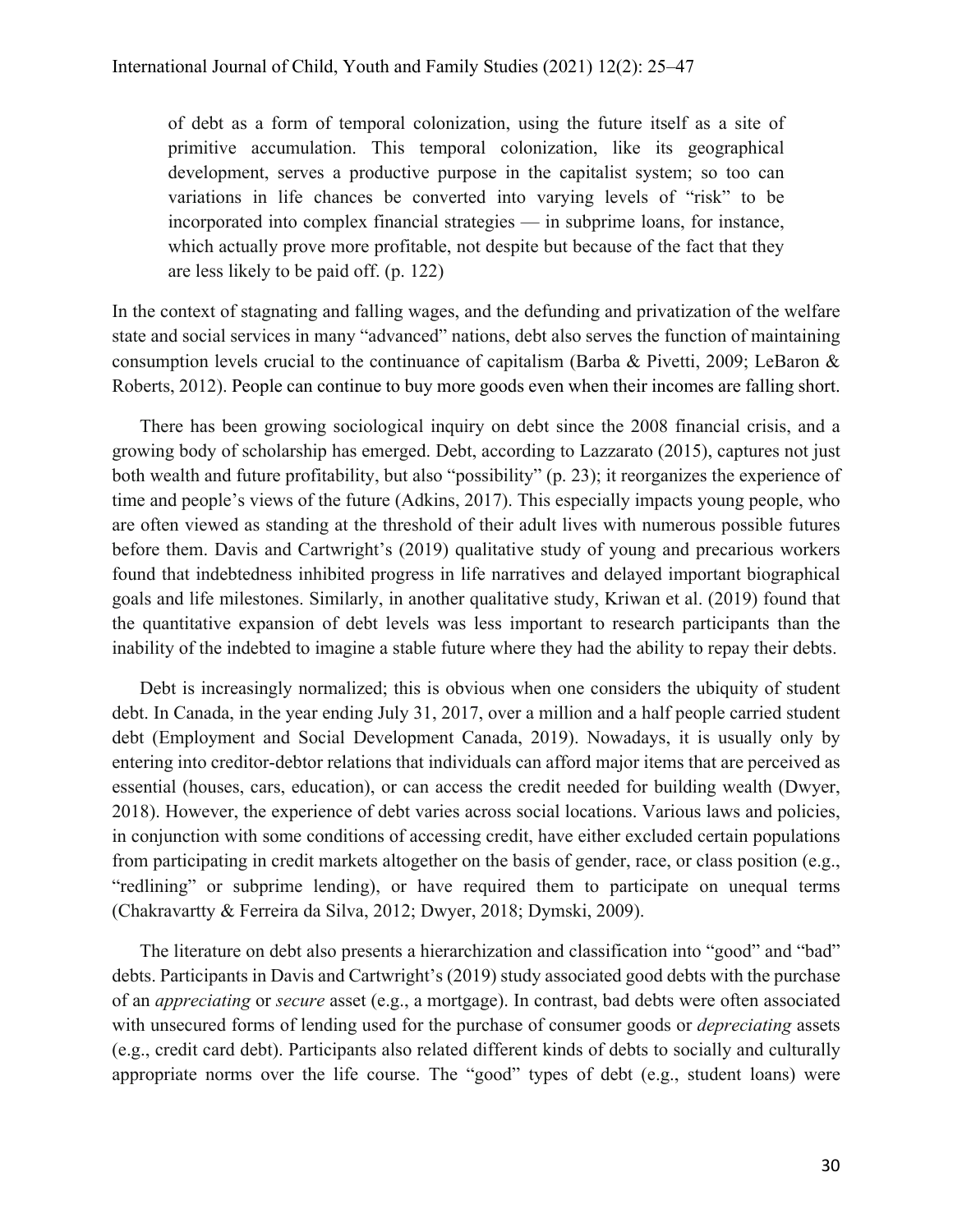of debt as a form of temporal colonization, using the future itself as a site of primitive accumulation. This temporal colonization, like its geographical development, serves a productive purpose in the capitalist system; so too can variations in life chances be converted into varying levels of "risk" to be incorporated into complex financial strategies — in subprime loans, for instance, which actually prove more profitable, not despite but because of the fact that they are less likely to be paid off. (p. 122)

In the context of stagnating and falling wages, and the defunding and privatization of the welfare state and social services in many "advanced" nations, debt also serves the function of maintaining consumption levels crucial to the continuance of capitalism (Barba & Pivetti, 2009; LeBaron & Roberts, 2012). People can continue to buy more goods even when their incomes are falling short.

There has been growing sociological inquiry on debt since the 2008 financial crisis, and a growing body of scholarship has emerged. Debt, according to Lazzarato (2015), captures not just both wealth and future profitability, but also "possibility" (p. 23); it reorganizes the experience of time and people's views of the future (Adkins, 2017). This especially impacts young people, who are often viewed as standing at the threshold of their adult lives with numerous possible futures before them. Davis and Cartwright's (2019) qualitative study of young and precarious workers found that indebtedness inhibited progress in life narratives and delayed important biographical goals and life milestones. Similarly, in another qualitative study, Kriwan et al. (2019) found that the quantitative expansion of debt levels was less important to research participants than the inability of the indebted to imagine a stable future where they had the ability to repay their debts.

Debt is increasingly normalized; this is obvious when one considers the ubiquity of student debt. In Canada, in the year ending July 31, 2017, over a million and a half people carried student debt (Employment and Social Development Canada, 2019). Nowadays, it is usually only by entering into creditor-debtor relations that individuals can afford major items that are perceived as essential (houses, cars, education), or can access the credit needed for building wealth (Dwyer, 2018). However, the experience of debt varies across social locations. Various laws and policies, in conjunction with some conditions of accessing credit, have either excluded certain populations from participating in credit markets altogether on the basis of gender, race, or class position (e.g., "redlining" or subprime lending), or have required them to participate on unequal terms (Chakravartty & Ferreira da Silva, 2012; Dwyer, 2018; Dymski, 2009).

The literature on debt also presents a hierarchization and classification into "good" and "bad" debts. Participants in Davis and Cartwright's (2019) study associated good debts with the purchase of an *appreciating* or *secure* asset (e.g., a mortgage). In contrast, bad debts were often associated with unsecured forms of lending used for the purchase of consumer goods or *depreciating* assets (e.g., credit card debt). Participants also related different kinds of debts to socially and culturally appropriate norms over the life course. The "good" types of debt (e.g., student loans) were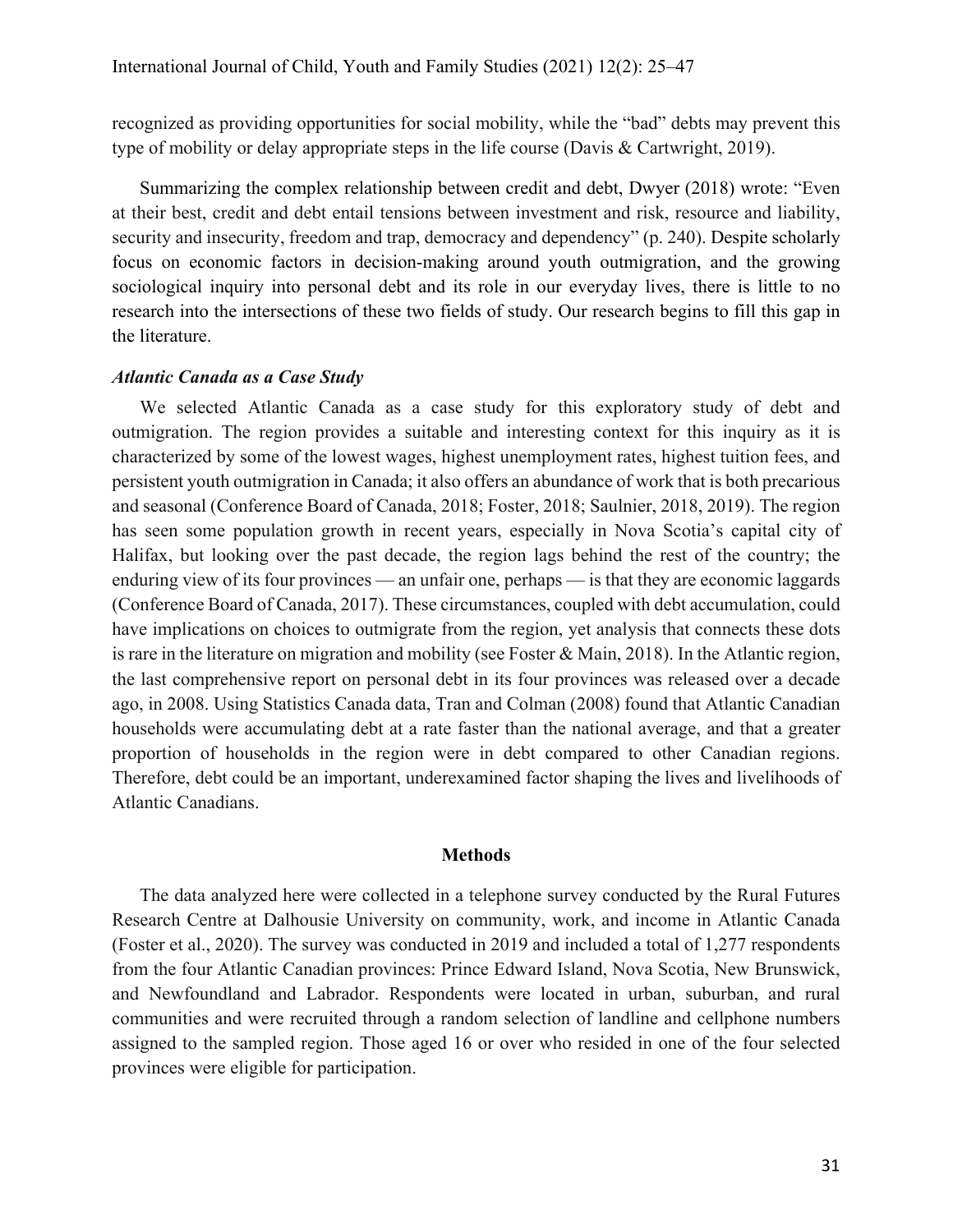recognized as providing opportunities for social mobility, while the "bad" debts may prevent this type of mobility or delay appropriate steps in the life course (Davis & Cartwright, 2019).

Summarizing the complex relationship between credit and debt, Dwyer (2018) wrote: "Even at their best, credit and debt entail tensions between investment and risk, resource and liability, security and insecurity, freedom and trap, democracy and dependency" (p. 240). Despite scholarly focus on economic factors in decision-making around youth outmigration, and the growing sociological inquiry into personal debt and its role in our everyday lives, there is little to no research into the intersections of these two fields of study. Our research begins to fill this gap in the literature.

## *Atlantic Canada as a Case Study*

We selected Atlantic Canada as a case study for this exploratory study of debt and outmigration. The region provides a suitable and interesting context for this inquiry as it is characterized by some of the lowest wages, highest unemployment rates, highest tuition fees, and persistent youth outmigration in Canada; it also offers an abundance of work that is both precarious and seasonal (Conference Board of Canada, 2018; Foster, 2018; Saulnier, 2018, 2019). The region has seen some population growth in recent years, especially in Nova Scotia's capital city of Halifax, but looking over the past decade, the region lags behind the rest of the country; the enduring view of its four provinces — an unfair one, perhaps — is that they are economic laggards (Conference Board of Canada, 2017). These circumstances, coupled with debt accumulation, could have implications on choices to outmigrate from the region, yet analysis that connects these dots is rare in the literature on migration and mobility (see Foster & Main, 2018). In the Atlantic region, the last comprehensive report on personal debt in its four provinces was released over a decade ago, in 2008. Using Statistics Canada data, Tran and Colman (2008) found that Atlantic Canadian households were accumulating debt at a rate faster than the national average, and that a greater proportion of households in the region were in debt compared to other Canadian regions. Therefore, debt could be an important, underexamined factor shaping the lives and livelihoods of Atlantic Canadians.

#### **Methods**

The data analyzed here were collected in a telephone survey conducted by the Rural Futures Research Centre at Dalhousie University on community, work, and income in Atlantic Canada (Foster et al., 2020). The survey was conducted in 2019 and included a total of 1,277 respondents from the four Atlantic Canadian provinces: Prince Edward Island, Nova Scotia, New Brunswick, and Newfoundland and Labrador. Respondents were located in urban, suburban, and rural communities and were recruited through a random selection of landline and cellphone numbers assigned to the sampled region. Those aged 16 or over who resided in one of the four selected provinces were eligible for participation.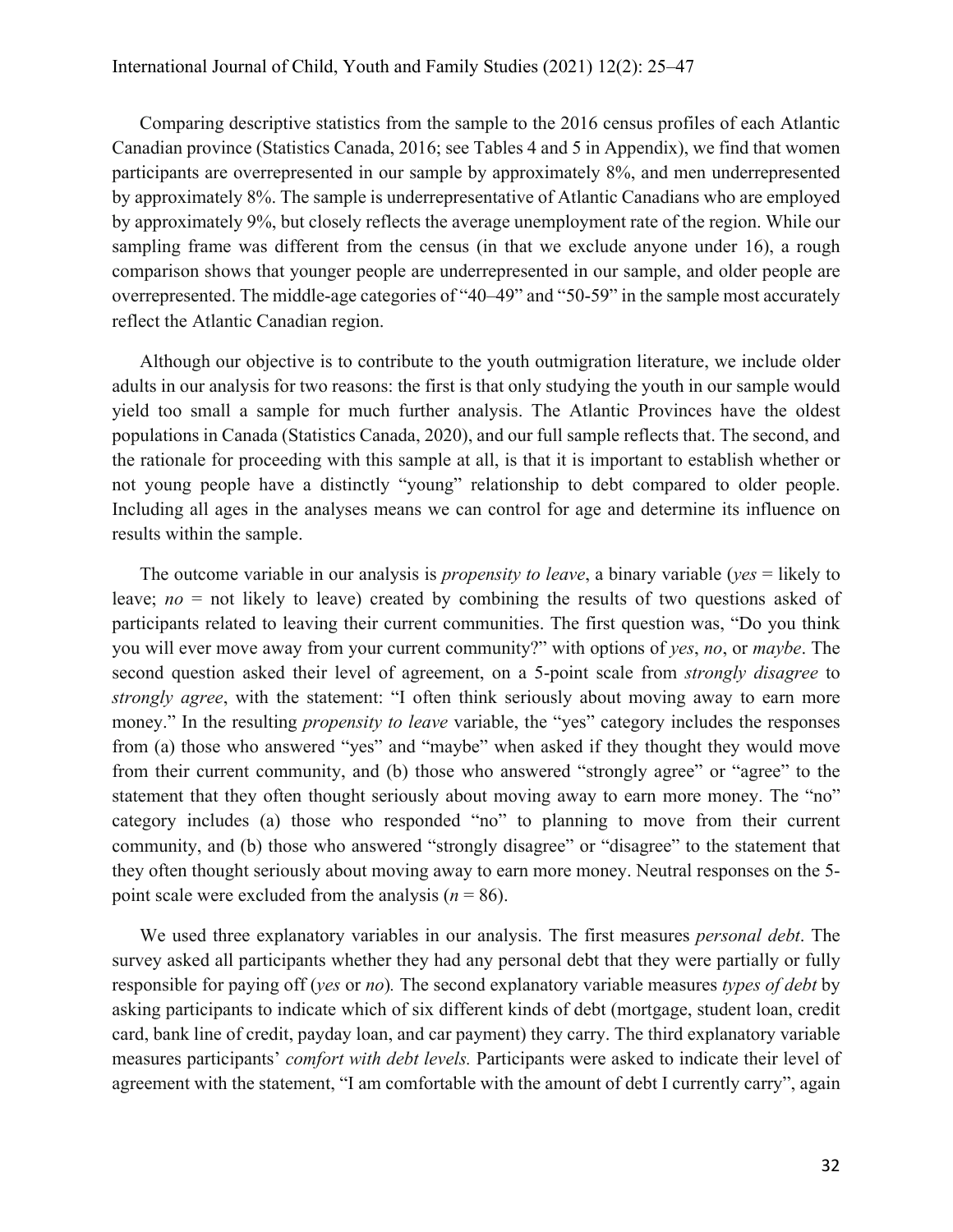Comparing descriptive statistics from the sample to the 2016 census profiles of each Atlantic Canadian province (Statistics Canada, 2016; see Tables 4 and 5 in Appendix), we find that women participants are overrepresented in our sample by approximately 8%, and men underrepresented by approximately 8%. The sample is underrepresentative of Atlantic Canadians who are employed by approximately 9%, but closely reflects the average unemployment rate of the region. While our sampling frame was different from the census (in that we exclude anyone under 16), a rough comparison shows that younger people are underrepresented in our sample, and older people are overrepresented. The middle-age categories of "40–49" and "50-59" in the sample most accurately reflect the Atlantic Canadian region.

Although our objective is to contribute to the youth outmigration literature, we include older adults in our analysis for two reasons: the first is that only studying the youth in our sample would yield too small a sample for much further analysis. The Atlantic Provinces have the oldest populations in Canada (Statistics Canada, 2020), and our full sample reflects that. The second, and the rationale for proceeding with this sample at all, is that it is important to establish whether or not young people have a distinctly "young" relationship to debt compared to older people. Including all ages in the analyses means we can control for age and determine its influence on results within the sample.

The outcome variable in our analysis is *propensity to leave*, a binary variable (*yes* = likely to leave; *no* = not likely to leave) created by combining the results of two questions asked of participants related to leaving their current communities. The first question was, "Do you think you will ever move away from your current community?" with options of *yes*, *no*, or *maybe*. The second question asked their level of agreement, on a 5-point scale from *strongly disagree* to *strongly agree*, with the statement: "I often think seriously about moving away to earn more money." In the resulting *propensity to leave* variable, the "yes" category includes the responses from (a) those who answered "yes" and "maybe" when asked if they thought they would move from their current community, and (b) those who answered "strongly agree" or "agree" to the statement that they often thought seriously about moving away to earn more money. The "no" category includes (a) those who responded "no" to planning to move from their current community, and (b) those who answered "strongly disagree" or "disagree" to the statement that they often thought seriously about moving away to earn more money. Neutral responses on the 5 point scale were excluded from the analysis  $(n = 86)$ .

We used three explanatory variables in our analysis. The first measures *personal debt*. The survey asked all participants whether they had any personal debt that they were partially or fully responsible for paying off (*yes* or *no*)*.* The second explanatory variable measures *types of debt* by asking participants to indicate which of six different kinds of debt (mortgage, student loan, credit card, bank line of credit, payday loan, and car payment) they carry. The third explanatory variable measures participants' *comfort with debt levels.* Participants were asked to indicate their level of agreement with the statement, "I am comfortable with the amount of debt I currently carry", again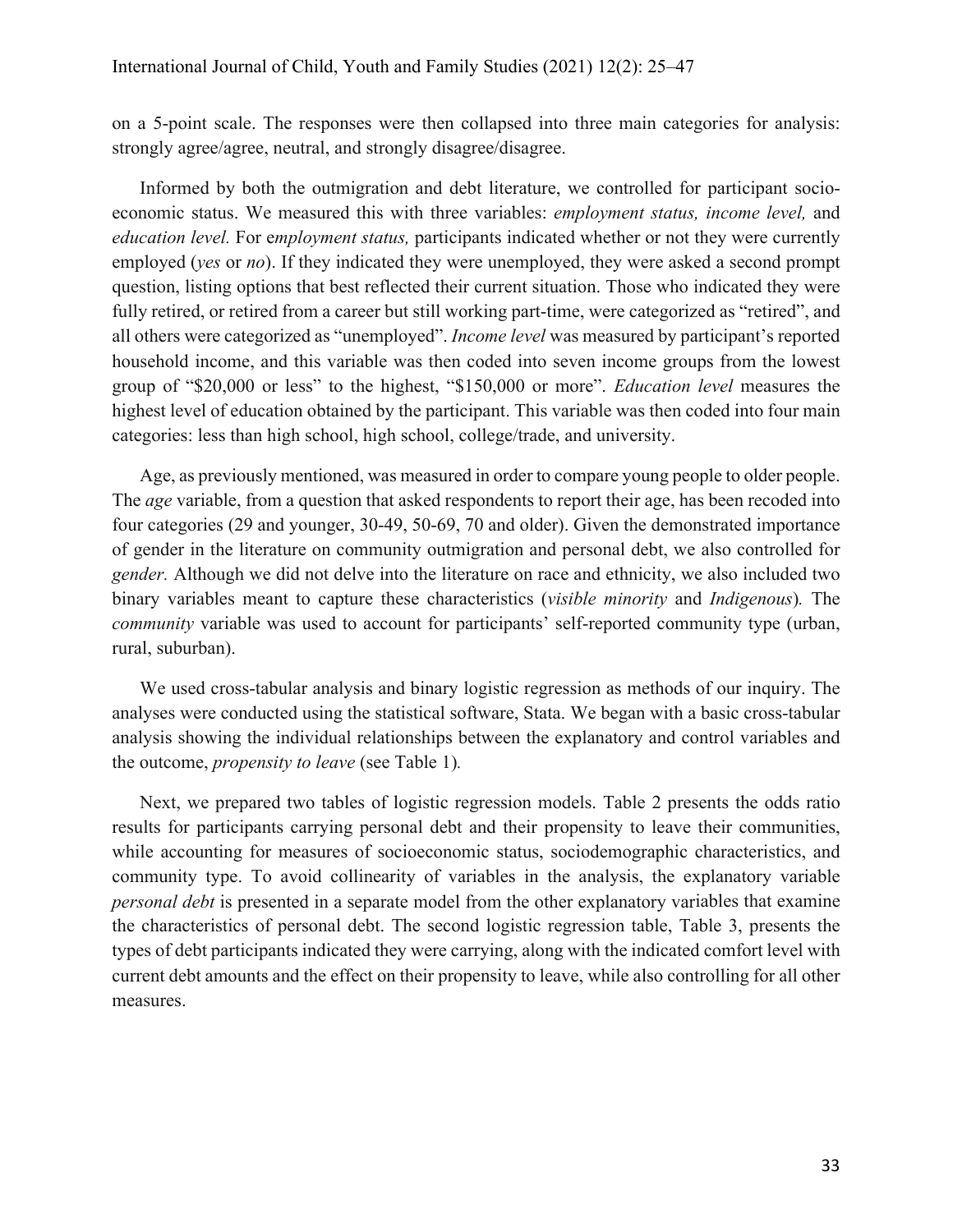on a 5-point scale. The responses were then collapsed into three main categories for analysis: strongly agree/agree, neutral, and strongly disagree/disagree.

Informed by both the outmigration and debt literature, we controlled for participant socioeconomic status. We measured this with three variables: *employment status, income level,* and *education level.* For e*mployment status,* participants indicated whether or not they were currently employed (*yes* or *no*). If they indicated they were unemployed, they were asked a second prompt question, listing options that best reflected their current situation. Those who indicated they were fully retired, or retired from a career but still working part-time, were categorized as "retired", and all others were categorized as "unemployed". *Income level* was measured by participant's reported household income, and this variable was then coded into seven income groups from the lowest group of "\$20,000 or less" to the highest, "\$150,000 or more". *Education level* measures the highest level of education obtained by the participant. This variable was then coded into four main categories: less than high school, high school, college/trade, and university.

Age, as previously mentioned, was measured in order to compare young people to older people. The *age* variable, from a question that asked respondents to report their age, has been recoded into four categories (29 and younger, 30-49, 50-69, 70 and older). Given the demonstrated importance of gender in the literature on community outmigration and personal debt, we also controlled for *gender.* Although we did not delve into the literature on race and ethnicity, we also included two binary variables meant to capture these characteristics (*visible minority* and *Indigenous*)*.* The *community* variable was used to account for participants' self-reported community type (urban, rural, suburban).

We used cross-tabular analysis and binary logistic regression as methods of our inquiry. The analyses were conducted using the statistical software, Stata. We began with a basic cross-tabular analysis showing the individual relationships between the explanatory and control variables and the outcome, *propensity to leave* (see Table 1)*.*

Next, we prepared two tables of logistic regression models. Table 2 presents the odds ratio results for participants carrying personal debt and their propensity to leave their communities, while accounting for measures of socioeconomic status, sociodemographic characteristics, and community type. To avoid collinearity of variables in the analysis, the explanatory variable *personal debt* is presented in a separate model from the other explanatory variables that examine the characteristics of personal debt. The second logistic regression table, Table 3, presents the types of debt participants indicated they were carrying, along with the indicated comfort level with current debt amounts and the effect on their propensity to leave, while also controlling for all other measures.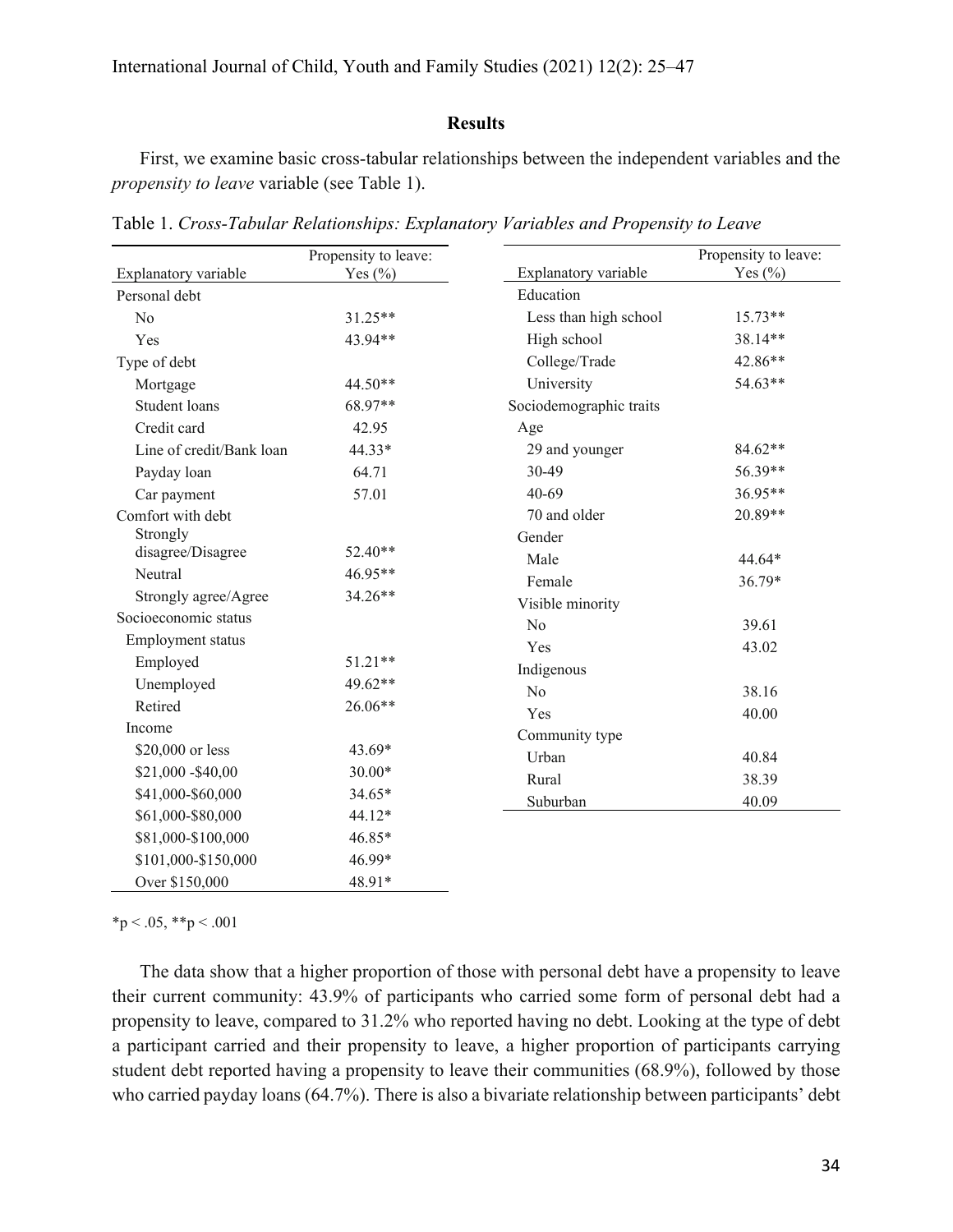### **Results**

First, we examine basic cross-tabular relationships between the independent variables and the *propensity to leave* variable (see Table 1).

| Explanatory variable     | Propensity to leave:<br>Yes $(\% )$ | Explanatory variable    | Propensity to leave:<br>Yes $(\% )$ |  |
|--------------------------|-------------------------------------|-------------------------|-------------------------------------|--|
| Personal debt            |                                     | Education               |                                     |  |
| No                       | 31.25**                             | Less than high school   | 15.73**                             |  |
| Yes                      | 43.94**                             | High school             | 38.14**                             |  |
| Type of debt             |                                     | College/Trade           | 42.86**                             |  |
| Mortgage                 | 44.50**                             | University              | 54.63**                             |  |
| Student loans            | 68.97**                             | Sociodemographic traits |                                     |  |
| Credit card              | 42.95                               | Age                     |                                     |  |
| Line of credit/Bank loan | 44.33*                              | 29 and younger          | 84.62**                             |  |
| Payday loan              | 64.71                               | 30-49                   | 56.39**                             |  |
| Car payment              | 57.01                               | $40 - 69$               | 36.95**                             |  |
| Comfort with debt        |                                     | 70 and older            | 20.89**                             |  |
| Strongly                 |                                     | Gender                  |                                     |  |
| disagree/Disagree        | 52.40**                             | Male                    | 44.64*<br>36.79*                    |  |
| Neutral                  | 46.95**                             | Female                  |                                     |  |
| Strongly agree/Agree     | 34.26**                             | Visible minority        |                                     |  |
| Socioeconomic status     |                                     | No                      | 39.61                               |  |
| Employment status        |                                     | Yes                     | 43.02                               |  |
| Employed                 | 51.21**                             | Indigenous              |                                     |  |
| Unemployed               | 49.62**                             | N <sub>o</sub>          | 38.16                               |  |
| Retired                  | 26.06**                             | Yes                     | 40.00                               |  |
| Income                   |                                     | Community type          |                                     |  |
| \$20,000 or less         | 43.69*                              | Urban                   | 40.84                               |  |
| \$21,000 - \$40,00       | 30.00*                              | Rural                   | 38.39                               |  |
| \$41,000-\$60,000        | 34.65*                              |                         |                                     |  |
| \$61,000-\$80,000        | 44.12*                              | Suburban                | 40.09                               |  |
| \$81,000-\$100,000       | 46.85*                              |                         |                                     |  |
| \$101,000-\$150,000      | 46.99*                              |                         |                                     |  |
| Over \$150,000           | 48.91*                              |                         |                                     |  |

Table 1. *Cross-Tabular Relationships: Explanatory Variables and Propensity to Leave*

 $*<sub>p</sub> < .05, **<sub>p</sub> < .001$ 

The data show that a higher proportion of those with personal debt have a propensity to leave their current community: 43.9% of participants who carried some form of personal debt had a propensity to leave, compared to 31.2% who reported having no debt. Looking at the type of debt a participant carried and their propensity to leave, a higher proportion of participants carrying student debt reported having a propensity to leave their communities (68.9%), followed by those who carried payday loans (64.7%). There is also a bivariate relationship between participants' debt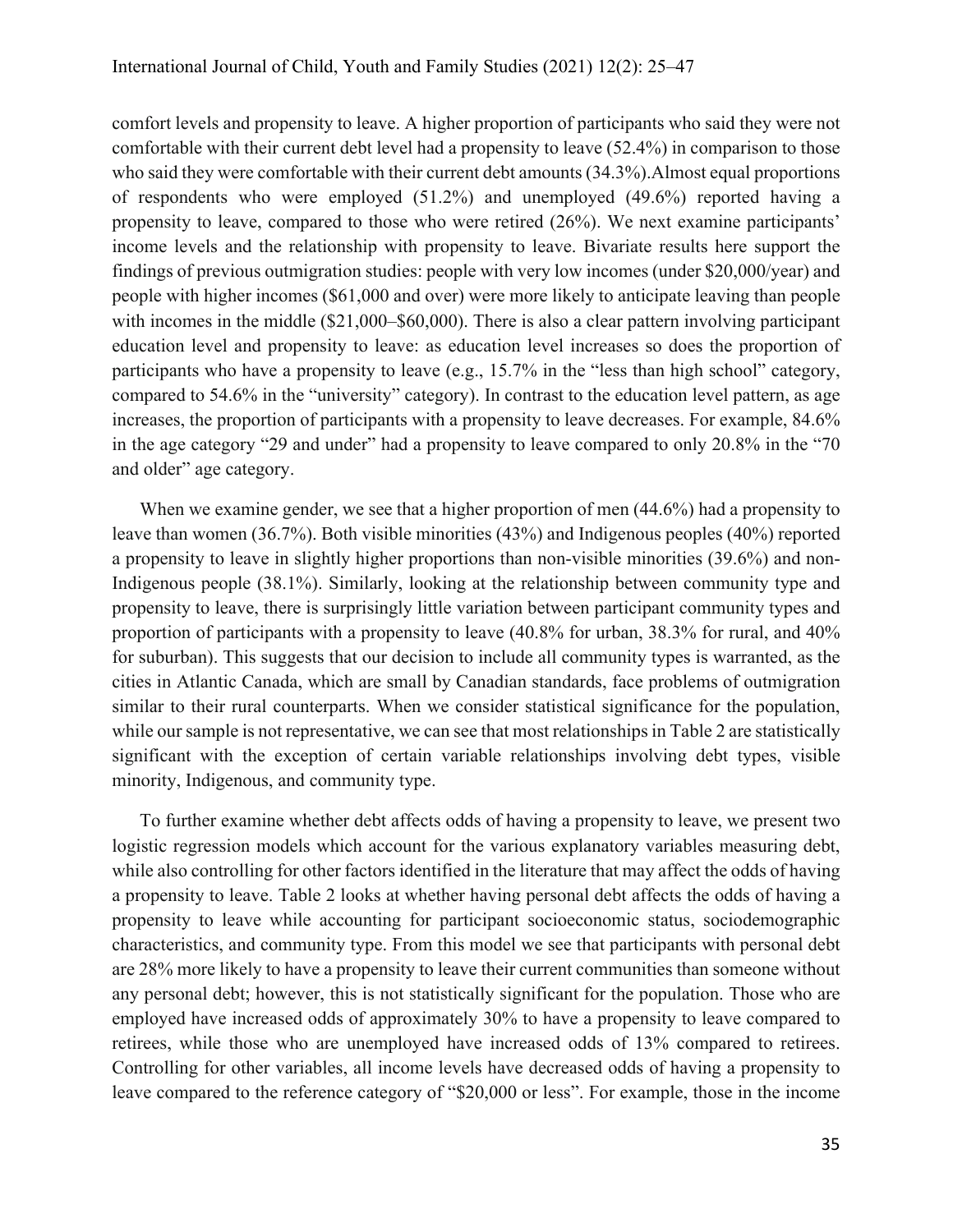comfort levels and propensity to leave. A higher proportion of participants who said they were not comfortable with their current debt level had a propensity to leave (52.4%) in comparison to those who said they were comfortable with their current debt amounts (34.3%). Almost equal proportions of respondents who were employed (51.2%) and unemployed (49.6%) reported having a propensity to leave, compared to those who were retired (26%). We next examine participants' income levels and the relationship with propensity to leave. Bivariate results here support the findings of previous outmigration studies: people with very low incomes (under \$20,000/year) and people with higher incomes (\$61,000 and over) were more likely to anticipate leaving than people with incomes in the middle (\$21,000–\$60,000). There is also a clear pattern involving participant education level and propensity to leave: as education level increases so does the proportion of participants who have a propensity to leave (e.g., 15.7% in the "less than high school" category, compared to 54.6% in the "university" category). In contrast to the education level pattern, as age increases, the proportion of participants with a propensity to leave decreases. For example, 84.6% in the age category "29 and under" had a propensity to leave compared to only 20.8% in the "70 and older" age category.

When we examine gender, we see that a higher proportion of men (44.6%) had a propensity to leave than women (36.7%). Both visible minorities (43%) and Indigenous peoples (40%) reported a propensity to leave in slightly higher proportions than non-visible minorities (39.6%) and non-Indigenous people (38.1%). Similarly, looking at the relationship between community type and propensity to leave, there is surprisingly little variation between participant community types and proportion of participants with a propensity to leave (40.8% for urban, 38.3% for rural, and 40% for suburban). This suggests that our decision to include all community types is warranted, as the cities in Atlantic Canada, which are small by Canadian standards, face problems of outmigration similar to their rural counterparts. When we consider statistical significance for the population, while our sample is not representative, we can see that most relationships in Table 2 are statistically significant with the exception of certain variable relationships involving debt types, visible minority, Indigenous, and community type.

To further examine whether debt affects odds of having a propensity to leave, we present two logistic regression models which account for the various explanatory variables measuring debt, while also controlling for other factors identified in the literature that may affect the odds of having a propensity to leave. Table 2 looks at whether having personal debt affects the odds of having a propensity to leave while accounting for participant socioeconomic status, sociodemographic characteristics, and community type. From this model we see that participants with personal debt are 28% more likely to have a propensity to leave their current communities than someone without any personal debt; however, this is not statistically significant for the population. Those who are employed have increased odds of approximately 30% to have a propensity to leave compared to retirees, while those who are unemployed have increased odds of 13% compared to retirees. Controlling for other variables, all income levels have decreased odds of having a propensity to leave compared to the reference category of "\$20,000 or less". For example, those in the income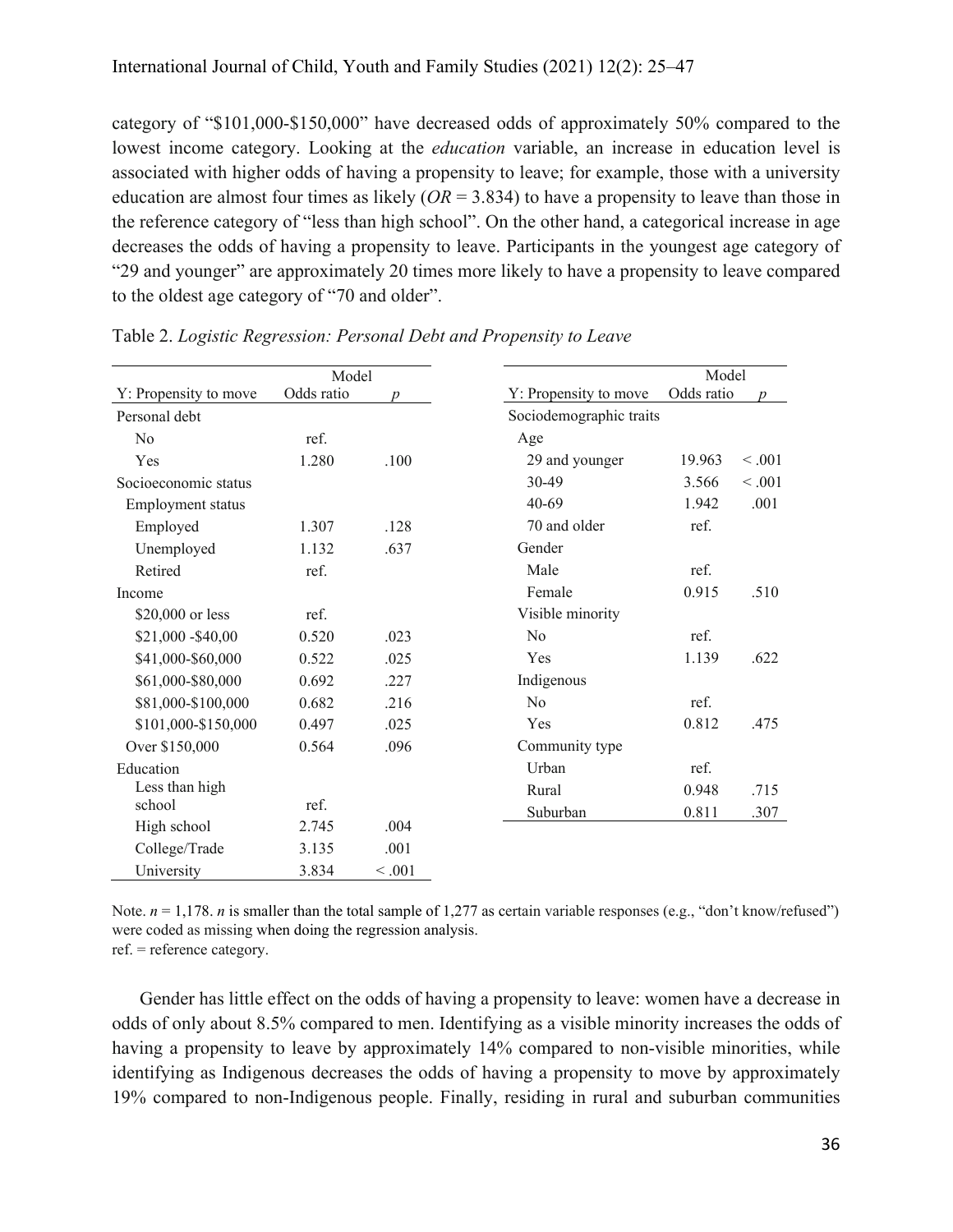category of "\$101,000-\$150,000" have decreased odds of approximately 50% compared to the lowest income category. Looking at the *education* variable, an increase in education level is associated with higher odds of having a propensity to leave; for example, those with a university education are almost four times as likely  $(OR = 3.834)$  to have a propensity to leave than those in the reference category of "less than high school". On the other hand, a categorical increase in age decreases the odds of having a propensity to leave. Participants in the youngest age category of "29 and younger" are approximately 20 times more likely to have a propensity to leave compared to the oldest age category of "70 and older".

| Model                 |            |                  |                         | Model             |
|-----------------------|------------|------------------|-------------------------|-------------------|
| Y: Propensity to move | Odds ratio | $\boldsymbol{v}$ | Y: Propensity to move   | Odds ratio        |
| Personal debt         |            |                  | Sociodemographic traits |                   |
| No                    | ref.       |                  | Age                     |                   |
| Yes                   | 1.280      | .100             | 29 and younger          | < 0.001<br>19.963 |
| Socioeconomic status  |            |                  | 30-49                   | 3.566<br>< .001   |
| Employment status     |            |                  | $40 - 69$               | 1.942<br>.001     |
| Employed              | 1.307      | .128             | 70 and older            | ref.              |
| Unemployed            | 1.132      | .637             | Gender                  |                   |
| Retired               | ref.       |                  | Male                    | ref.              |
| Income                |            |                  | Female                  | 0.915<br>.510     |
| \$20,000 or less      | ref.       |                  | Visible minority        |                   |
| \$21,000 - \$40,00    | 0.520      | .023             | N <sub>0</sub>          | ref.              |
| \$41,000-\$60,000     | 0.522      | .025             | Yes                     | .622<br>1.139     |
| \$61,000-\$80,000     | 0.692      | .227             | Indigenous              |                   |
| \$81,000-\$100,000    | 0.682      | .216             | N <sub>0</sub>          | ref.              |
| \$101,000-\$150,000   | 0.497      | .025             | Yes                     | 0.812<br>.475     |
| Over \$150,000        | 0.564      | .096             | Community type          |                   |
| Education             |            |                  | Urban                   | ref.              |
| Less than high        |            |                  | Rural                   | .715<br>0.948     |
| school                | ref.       |                  | Suburban                | 0.811<br>.307     |
| High school           | 2.745      | .004             |                         |                   |
| College/Trade         | 3.135      | .001             |                         |                   |
| University            | 3.834      | < 0.001          |                         |                   |

Table 2. *Logistic Regression: Personal Debt and Propensity to Leave*

Note.  $n = 1,178$ . *n* is smaller than the total sample of 1,277 as certain variable responses (e.g., "don't know/refused") were coded as missing when doing the regression analysis. ref. = reference category.

Gender has little effect on the odds of having a propensity to leave: women have a decrease in odds of only about 8.5% compared to men. Identifying as a visible minority increases the odds of having a propensity to leave by approximately 14% compared to non-visible minorities, while identifying as Indigenous decreases the odds of having a propensity to move by approximately 19% compared to non-Indigenous people. Finally, residing in rural and suburban communities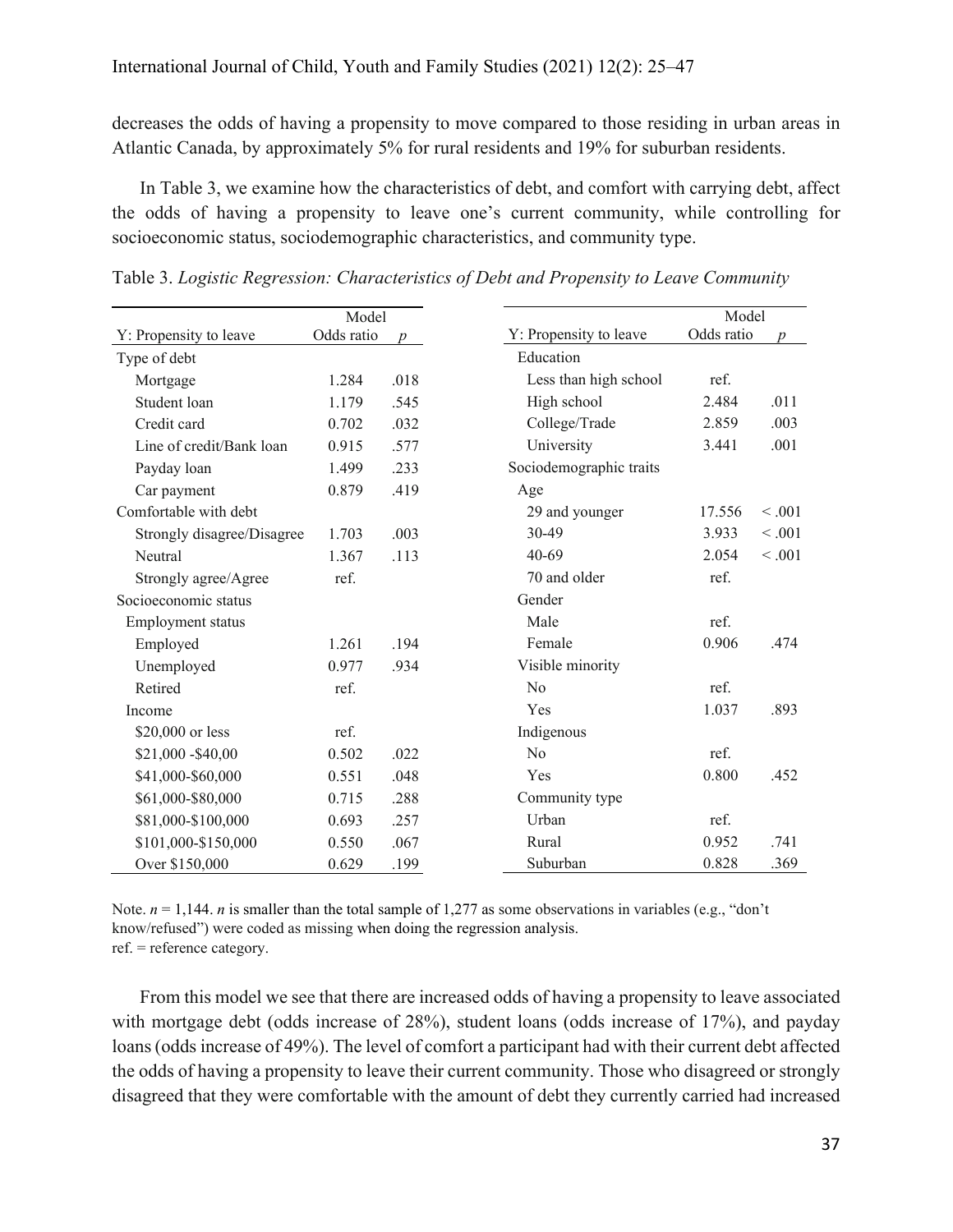decreases the odds of having a propensity to move compared to those residing in urban areas in Atlantic Canada, by approximately 5% for rural residents and 19% for suburban residents.

In Table 3, we examine how the characteristics of debt, and comfort with carrying debt, affect the odds of having a propensity to leave one's current community, while controlling for socioeconomic status, sociodemographic characteristics, and community type.

| Model                      |            |                  | Model                   |            |        |
|----------------------------|------------|------------------|-------------------------|------------|--------|
| Y: Propensity to leave     | Odds ratio | $\boldsymbol{p}$ | Y: Propensity to leave  | Odds ratio | n      |
| Type of debt               |            |                  | Education               |            |        |
| Mortgage                   | 1.284      | .018             | Less than high school   | ref.       |        |
| Student loan               | 1.179      | .545             | High school             | 2.484      | .011   |
| Credit card                | 0.702      | .032             | College/Trade           | 2.859      | .003   |
| Line of credit/Bank loan   | 0.915      | .577             | University              | 3.441      | .001   |
| Payday loan                | 1.499      | .233             | Sociodemographic traits |            |        |
| Car payment                | 0.879      | .419             | Age                     |            |        |
| Comfortable with debt      |            |                  | 29 and younger          | 17.556     | < .001 |
| Strongly disagree/Disagree | 1.703      | .003             | 30-49                   | 3.933      | < .001 |
| Neutral                    | 1.367      | .113             | $40 - 69$               | 2.054      | < .001 |
| Strongly agree/Agree       | ref.       |                  | 70 and older            | ref.       |        |
| Socioeconomic status       |            |                  | Gender                  |            |        |
| Employment status          |            |                  | Male                    | ref.       |        |
| Employed                   | 1.261      | .194             | Female                  | 0.906      | .474   |
| Unemployed                 | 0.977      | .934             | Visible minority        |            |        |
| Retired                    | ref.       |                  | No                      | ref.       |        |
| Income                     |            |                  | Yes                     | 1.037      | .893   |
| \$20,000 or less           | ref.       |                  | Indigenous              |            |        |
| \$21,000 - \$40,00         | 0.502      | .022             | No                      | ref.       |        |
| \$41,000-\$60,000          | 0.551      | .048             | Yes                     | 0.800      | .452   |
| \$61,000-\$80,000          | 0.715      | .288             | Community type          |            |        |
| \$81,000-\$100,000         | 0.693      | .257             | Urban                   | ref.       |        |
| \$101,000-\$150,000        | 0.550      | .067             | Rural                   | 0.952      | .741   |
| Over \$150,000             | 0.629      | .199             | Suburban                | 0.828      | .369   |

Table 3. *Logistic Regression: Characteristics of Debt and Propensity to Leave Community*

Note.  $n = 1,144$ . *n* is smaller than the total sample of 1,277 as some observations in variables (e.g., "don't know/refused") were coded as missing when doing the regression analysis. ref. = reference category.

From this model we see that there are increased odds of having a propensity to leave associated with mortgage debt (odds increase of 28%), student loans (odds increase of 17%), and payday loans (odds increase of 49%). The level of comfort a participant had with their current debt affected the odds of having a propensity to leave their current community. Those who disagreed or strongly disagreed that they were comfortable with the amount of debt they currently carried had increased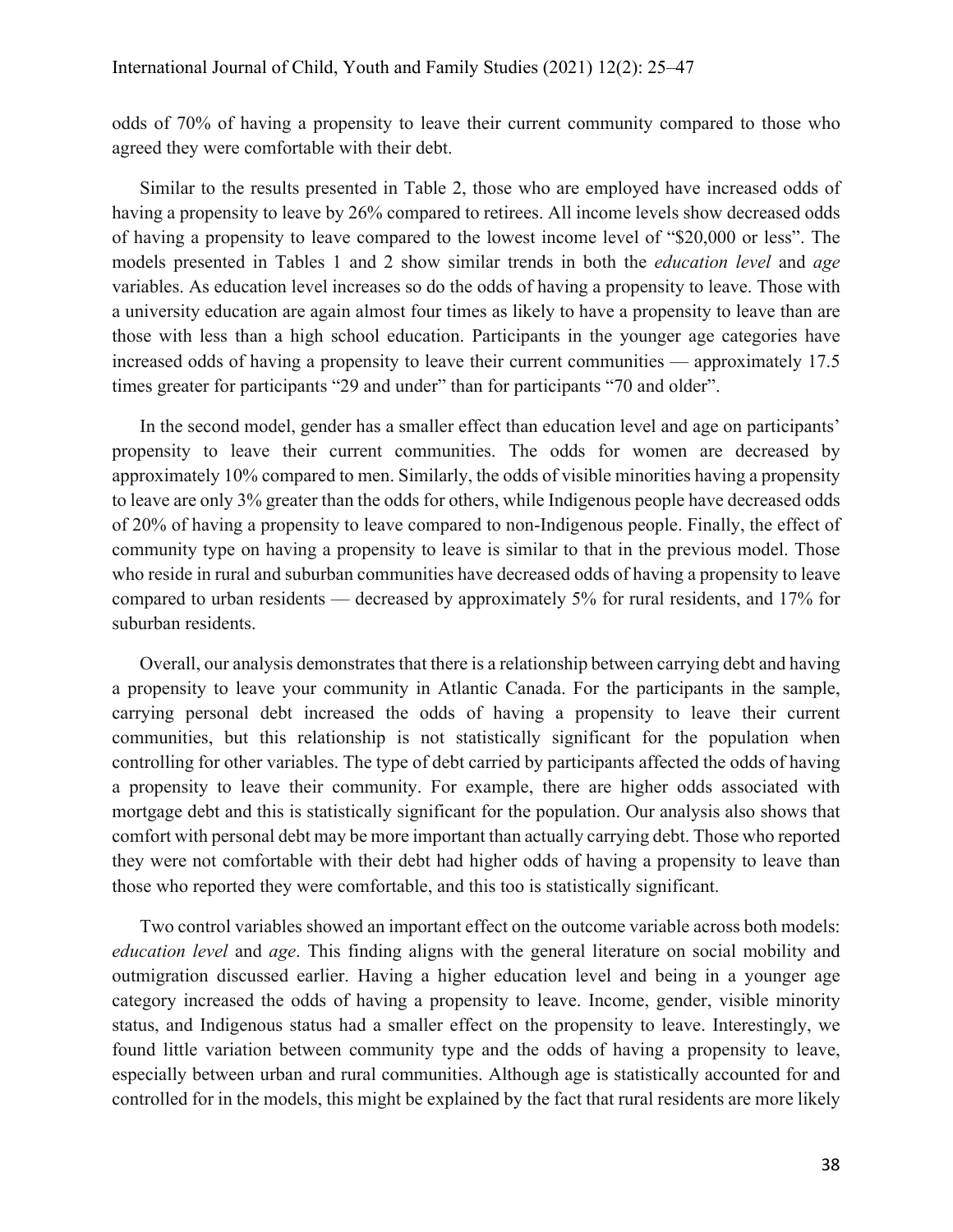odds of 70% of having a propensity to leave their current community compared to those who agreed they were comfortable with their debt.

Similar to the results presented in Table 2, those who are employed have increased odds of having a propensity to leave by 26% compared to retirees. All income levels show decreased odds of having a propensity to leave compared to the lowest income level of "\$20,000 or less". The models presented in Tables 1 and 2 show similar trends in both the *education level* and *age* variables. As education level increases so do the odds of having a propensity to leave. Those with a university education are again almost four times as likely to have a propensity to leave than are those with less than a high school education. Participants in the younger age categories have increased odds of having a propensity to leave their current communities — approximately 17.5 times greater for participants "29 and under" than for participants "70 and older".

In the second model, gender has a smaller effect than education level and age on participants' propensity to leave their current communities. The odds for women are decreased by approximately 10% compared to men. Similarly, the odds of visible minorities having a propensity to leave are only 3% greater than the odds for others, while Indigenous people have decreased odds of 20% of having a propensity to leave compared to non-Indigenous people. Finally, the effect of community type on having a propensity to leave is similar to that in the previous model. Those who reside in rural and suburban communities have decreased odds of having a propensity to leave compared to urban residents — decreased by approximately 5% for rural residents, and 17% for suburban residents.

Overall, our analysis demonstrates that there is a relationship between carrying debt and having a propensity to leave your community in Atlantic Canada. For the participants in the sample, carrying personal debt increased the odds of having a propensity to leave their current communities, but this relationship is not statistically significant for the population when controlling for other variables. The type of debt carried by participants affected the odds of having a propensity to leave their community. For example, there are higher odds associated with mortgage debt and this is statistically significant for the population. Our analysis also shows that comfort with personal debt may be more important than actually carrying debt. Those who reported they were not comfortable with their debt had higher odds of having a propensity to leave than those who reported they were comfortable, and this too is statistically significant.

Two control variables showed an important effect on the outcome variable across both models: *education level* and *age*. This finding aligns with the general literature on social mobility and outmigration discussed earlier. Having a higher education level and being in a younger age category increased the odds of having a propensity to leave. Income, gender, visible minority status, and Indigenous status had a smaller effect on the propensity to leave. Interestingly, we found little variation between community type and the odds of having a propensity to leave, especially between urban and rural communities. Although age is statistically accounted for and controlled for in the models, this might be explained by the fact that rural residents are more likely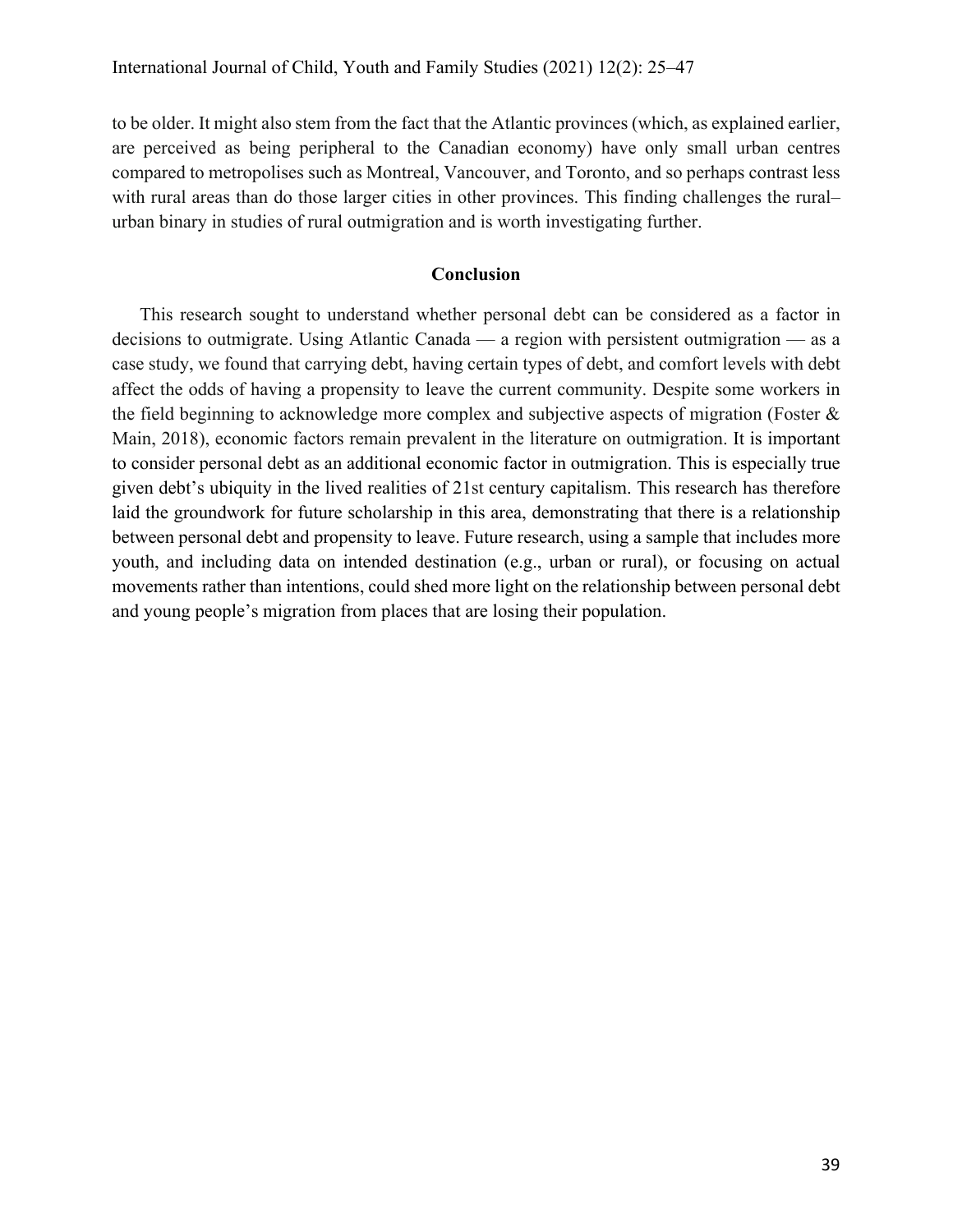to be older. It might also stem from the fact that the Atlantic provinces (which, as explained earlier, are perceived as being peripheral to the Canadian economy) have only small urban centres compared to metropolises such as Montreal, Vancouver, and Toronto, and so perhaps contrast less with rural areas than do those larger cities in other provinces. This finding challenges the rural– urban binary in studies of rural outmigration and is worth investigating further.

## **Conclusion**

This research sought to understand whether personal debt can be considered as a factor in decisions to outmigrate. Using Atlantic Canada — a region with persistent outmigration — as a case study, we found that carrying debt, having certain types of debt, and comfort levels with debt affect the odds of having a propensity to leave the current community. Despite some workers in the field beginning to acknowledge more complex and subjective aspects of migration (Foster & Main, 2018), economic factors remain prevalent in the literature on outmigration. It is important to consider personal debt as an additional economic factor in outmigration. This is especially true given debt's ubiquity in the lived realities of 21st century capitalism. This research has therefore laid the groundwork for future scholarship in this area, demonstrating that there is a relationship between personal debt and propensity to leave. Future research, using a sample that includes more youth, and including data on intended destination (e.g., urban or rural), or focusing on actual movements rather than intentions, could shed more light on the relationship between personal debt and young people's migration from places that are losing their population.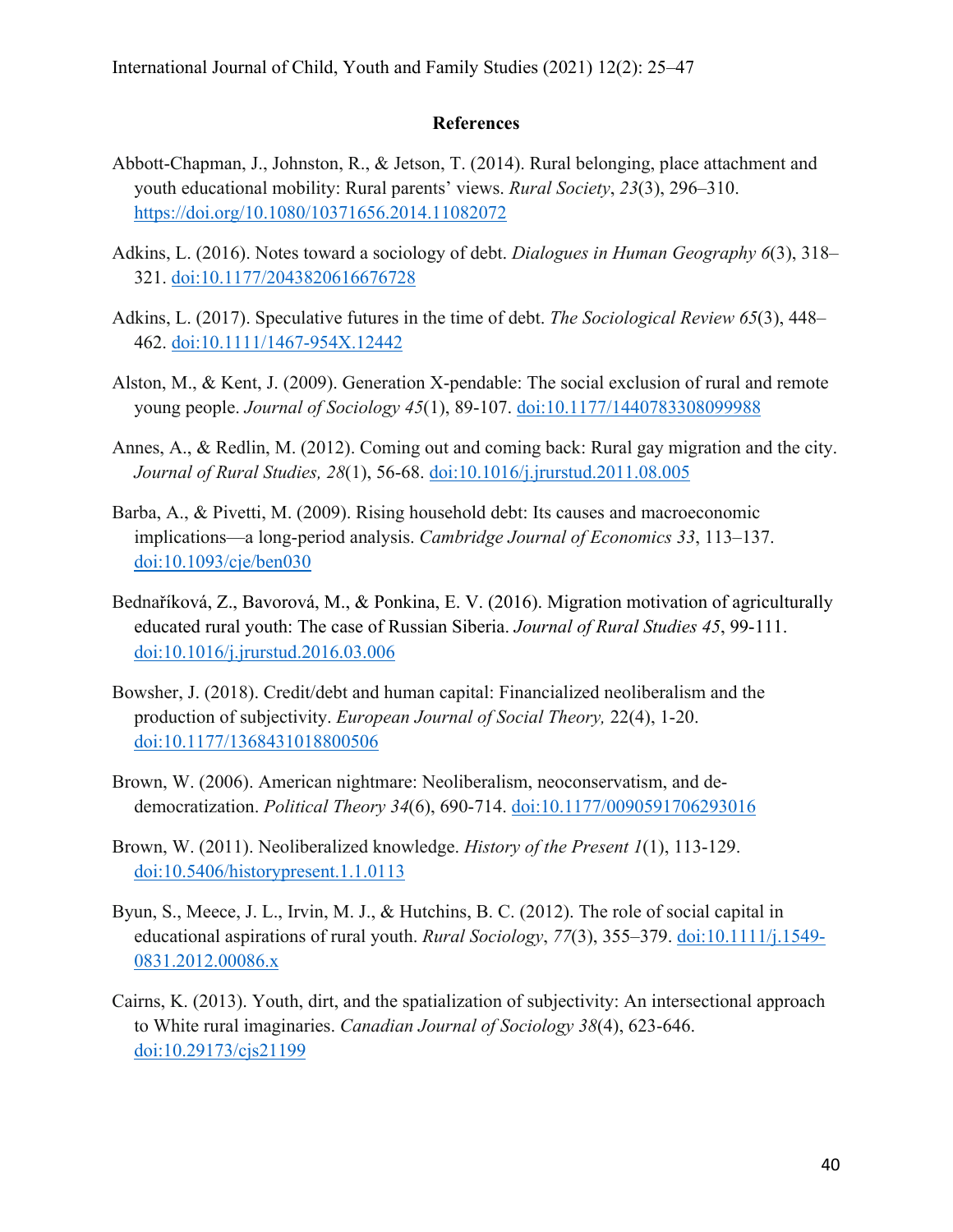## **References**

- Abbott-Chapman, J., Johnston, R., & Jetson, T. (2014). Rural belonging, place attachment and youth educational mobility: Rural parents' views. *Rural Society*, *23*(3), 296–310. https://doi.org/10.1080/10371656.2014.11082072
- Adkins, L. (2016). Notes toward a sociology of debt. *Dialogues in Human Geography 6*(3), 318– 321. doi:10.1177/2043820616676728
- Adkins, L. (2017). Speculative futures in the time of debt. *The Sociological Review 65*(3), 448– 462. doi:10.1111/1467-954X.12442
- Alston, M., & Kent, J. (2009). Generation X-pendable: The social exclusion of rural and remote young people. *Journal of Sociology 45*(1), 89-107. doi:10.1177/1440783308099988
- Annes, A., & Redlin, M. (2012). Coming out and coming back: Rural gay migration and the city. *Journal of Rural Studies, 28*(1), 56-68. doi:10.1016/j.jrurstud.2011.08.005
- Barba, A., & Pivetti, M. (2009). Rising household debt: Its causes and macroeconomic implications—a long-period analysis. *Cambridge Journal of Economics 33*, 113–137. doi:10.1093/cje/ben030
- Bednaříková, Z., Bavorová, M., & Ponkina, E. V. (2016). Migration motivation of agriculturally educated rural youth: The case of Russian Siberia. *Journal of Rural Studies 45*, 99-111. doi:10.1016/j.jrurstud.2016.03.006
- Bowsher, J. (2018). Credit/debt and human capital: Financialized neoliberalism and the production of subjectivity. *European Journal of Social Theory,* 22(4), 1-20. doi:10.1177/1368431018800506
- Brown, W. (2006). American nightmare: Neoliberalism, neoconservatism, and dedemocratization. *Political Theory 34*(6), 690-714. doi:10.1177/0090591706293016
- Brown, W. (2011). Neoliberalized knowledge. *History of the Present 1*(1), 113-129. doi:10.5406/historypresent.1.1.0113
- Byun, S., Meece, J. L., Irvin, M. J., & Hutchins, B. C. (2012). The role of social capital in educational aspirations of rural youth. *Rural Sociology*, *77*(3), 355–379. doi:10.1111/j.1549- 0831.2012.00086.x
- Cairns, K. (2013). Youth, dirt, and the spatialization of subjectivity: An intersectional approach to White rural imaginaries. *Canadian Journal of Sociology 38*(4), 623-646. doi:10.29173/cjs21199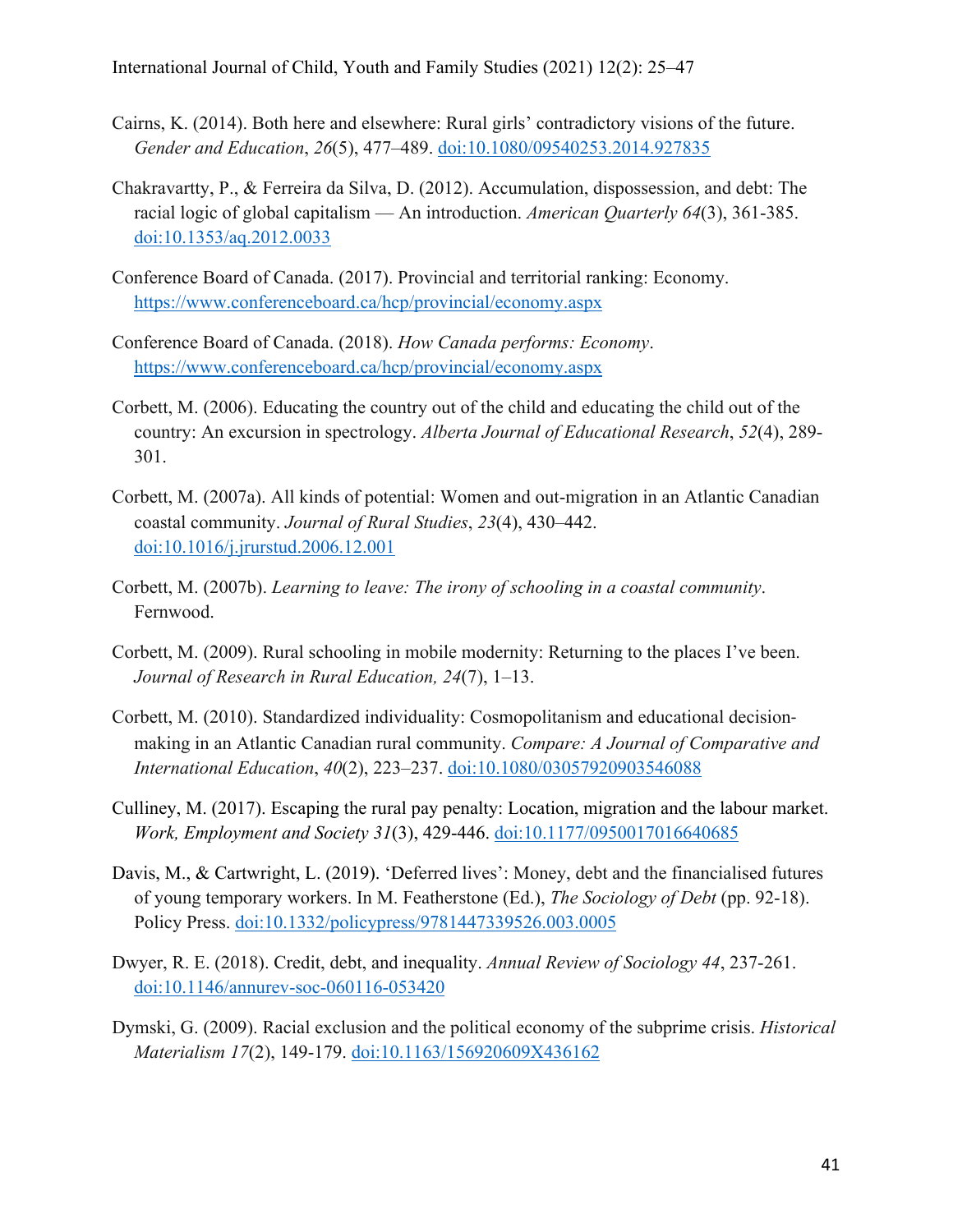- Cairns, K. (2014). Both here and elsewhere: Rural girls' contradictory visions of the future. *Gender and Education*, *26*(5), 477–489. doi:10.1080/09540253.2014.927835
- Chakravartty, P., & Ferreira da Silva, D. (2012). Accumulation, dispossession, and debt: The racial logic of global capitalism — An introduction. *American Quarterly 64*(3), 361-385. doi:10.1353/aq.2012.0033
- Conference Board of Canada. (2017). Provincial and territorial ranking: Economy. https://www.conferenceboard.ca/hcp/provincial/economy.aspx
- Conference Board of Canada. (2018). *How Canada performs: Economy*. https://www.conferenceboard.ca/hcp/provincial/economy.aspx
- Corbett, M. (2006). Educating the country out of the child and educating the child out of the country: An excursion in spectrology. *Alberta Journal of Educational Research*, *52*(4), 289- 301.
- Corbett, M. (2007a). All kinds of potential: Women and out-migration in an Atlantic Canadian coastal community. *Journal of Rural Studies*, *23*(4), 430–442. doi:10.1016/j.jrurstud.2006.12.001
- Corbett, M. (2007b). *Learning to leave: The irony of schooling in a coastal community*. Fernwood.
- Corbett, M. (2009). Rural schooling in mobile modernity: Returning to the places I've been. *Journal of Research in Rural Education, 24*(7), 1–13.
- Corbett, M. (2010). Standardized individuality: Cosmopolitanism and educational decision‐ making in an Atlantic Canadian rural community. *Compare: A Journal of Comparative and International Education*, *40*(2), 223–237. doi:10.1080/03057920903546088
- Culliney, M. (2017). Escaping the rural pay penalty: Location, migration and the labour market. *Work, Employment and Society 31*(3), 429-446. doi:10.1177/0950017016640685
- Davis, M., & Cartwright, L. (2019). 'Deferred lives': Money, debt and the financialised futures of young temporary workers. In M. Featherstone (Ed.), *The Sociology of Debt* (pp. 92-18). Policy Press. doi:10.1332/policypress/9781447339526.003.0005
- Dwyer, R. E. (2018). Credit, debt, and inequality. *Annual Review of Sociology 44*, 237-261. doi:10.1146/annurev-soc-060116-053420
- Dymski, G. (2009). Racial exclusion and the political economy of the subprime crisis. *Historical Materialism 17*(2), 149-179. doi:10.1163/156920609X436162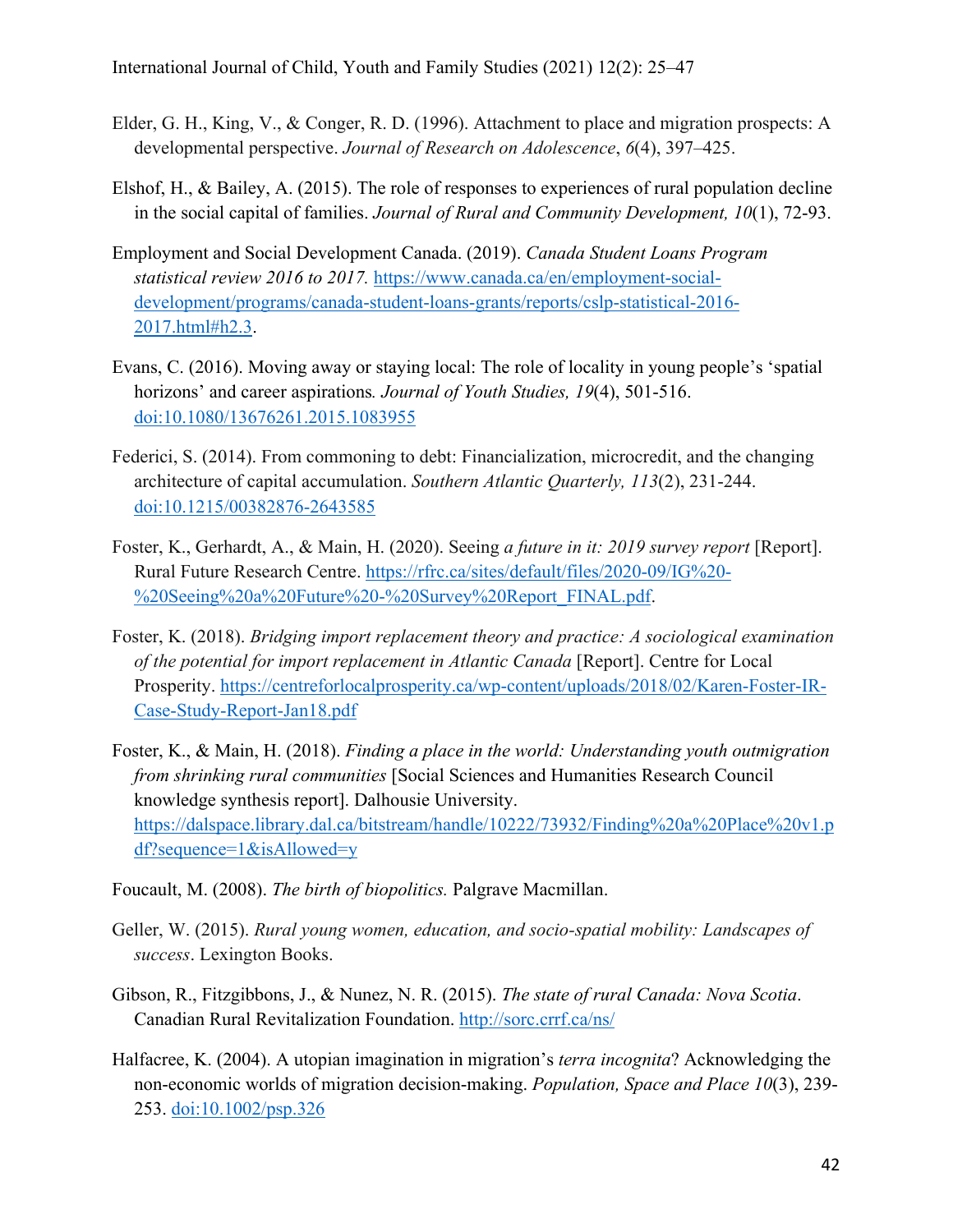- Elder, G. H., King, V., & Conger, R. D. (1996). Attachment to place and migration prospects: A developmental perspective. *Journal of Research on Adolescence*, *6*(4), 397–425.
- Elshof, H., & Bailey, A. (2015). The role of responses to experiences of rural population decline in the social capital of families. *Journal of Rural and Community Development, 10*(1), 72-93.
- Employment and Social Development Canada. (2019). *Canada Student Loans Program statistical review 2016 to 2017.* https://www.canada.ca/en/employment-socialdevelopment/programs/canada-student-loans-grants/reports/cslp-statistical-2016- 2017.html#h2.3.
- Evans, C. (2016). Moving away or staying local: The role of locality in young people's 'spatial horizons' and career aspirations*. Journal of Youth Studies, 19*(4), 501-516. doi:10.1080/13676261.2015.1083955
- Federici, S. (2014). From commoning to debt: Financialization, microcredit, and the changing architecture of capital accumulation. *Southern Atlantic Quarterly, 113*(2), 231-244. doi:10.1215/00382876-2643585
- Foster, K., Gerhardt, A., & Main, H. (2020). Seeing *a future in it: 2019 survey report* [Report]. Rural Future Research Centre. https://rfrc.ca/sites/default/files/2020-09/IG%20- %20Seeing%20a%20Future%20-%20Survey%20Report\_FINAL.pdf.
- Foster, K. (2018). *Bridging import replacement theory and practice: A sociological examination of the potential for import replacement in Atlantic Canada* [Report]. Centre for Local Prosperity. https://centreforlocalprosperity.ca/wp-content/uploads/2018/02/Karen-Foster-IR-Case-Study-Report-Jan18.pdf
- Foster, K., & Main, H. (2018). *Finding a place in the world: Understanding youth outmigration from shrinking rural communities* [Social Sciences and Humanities Research Council knowledge synthesis report]. Dalhousie University. https://dalspace.library.dal.ca/bitstream/handle/10222/73932/Finding%20a%20Place%20v1.p df?sequence=1&isAllowed=y
- Foucault, M. (2008). *The birth of biopolitics.* Palgrave Macmillan.
- Geller, W. (2015). *Rural young women, education, and socio-spatial mobility: Landscapes of success*. Lexington Books.
- Gibson, R., Fitzgibbons, J., & Nunez, N. R. (2015). *The state of rural Canada: Nova Scotia*. Canadian Rural Revitalization Foundation. http://sorc.crrf.ca/ns/
- Halfacree, K. (2004). A utopian imagination in migration's *terra incognita*? Acknowledging the non-economic worlds of migration decision-making. *Population, Space and Place 10*(3), 239- 253. doi:10.1002/psp.326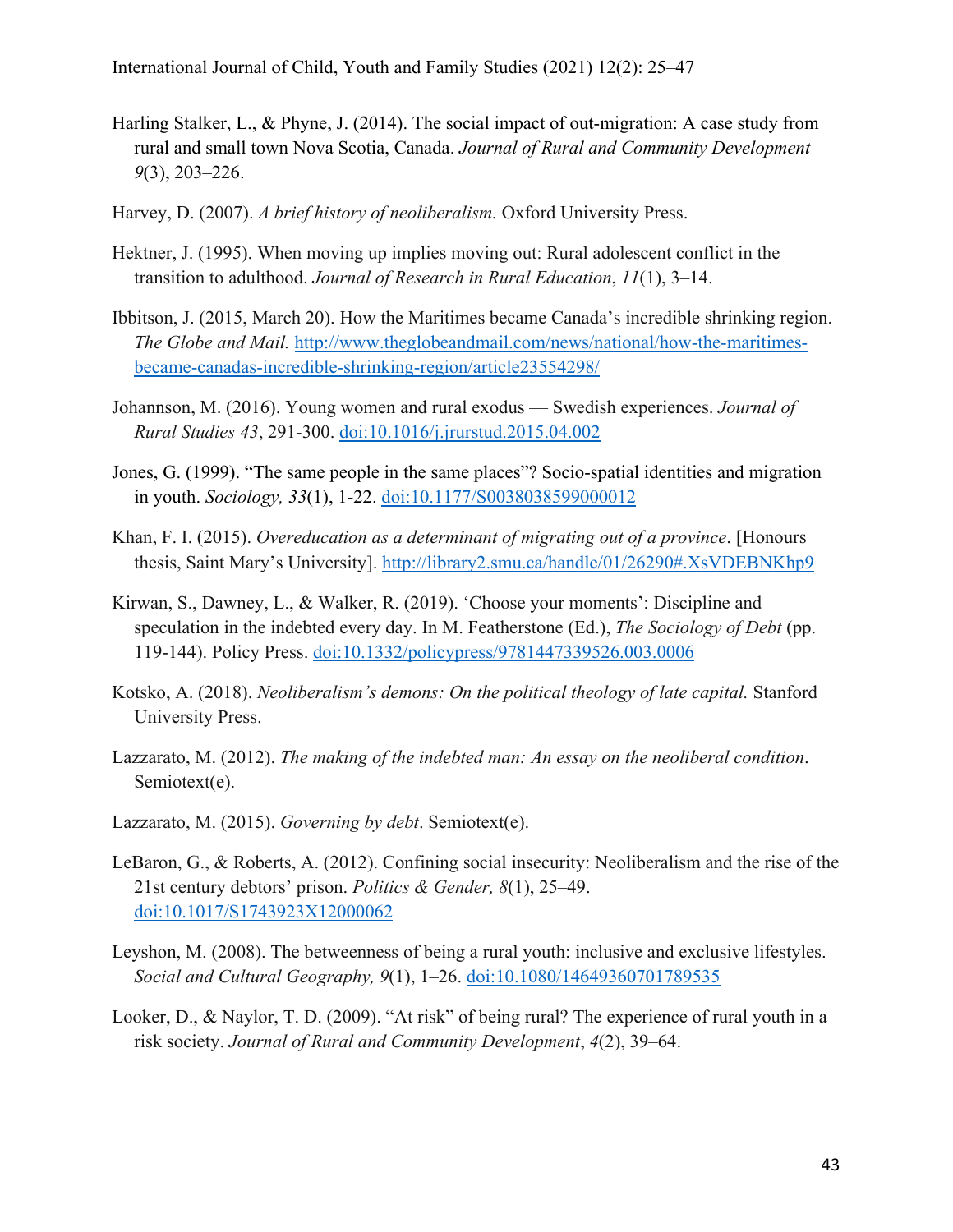- Harling Stalker, L., & Phyne, J. (2014). The social impact of out-migration: A case study from rural and small town Nova Scotia, Canada. *Journal of Rural and Community Development 9*(3), 203–226.
- Harvey, D. (2007). *A brief history of neoliberalism.* Oxford University Press.
- Hektner, J. (1995). When moving up implies moving out: Rural adolescent conflict in the transition to adulthood. *Journal of Research in Rural Education*, *11*(1), 3–14.
- Ibbitson, J. (2015, March 20). How the Maritimes became Canada's incredible shrinking region. *The Globe and Mail.* http://www.theglobeandmail.com/news/national/how-the-maritimesbecame-canadas-incredible-shrinking-region/article23554298/
- Johannson, M. (2016). Young women and rural exodus Swedish experiences. *Journal of Rural Studies 43*, 291-300. doi:10.1016/j.jrurstud.2015.04.002
- Jones, G. (1999). "The same people in the same places"? Socio-spatial identities and migration in youth. *Sociology, 33*(1), 1-22. doi:10.1177/S0038038599000012
- Khan, F. I. (2015). *Overeducation as a determinant of migrating out of a province*. [Honours thesis, Saint Mary's University]. http://library2.smu.ca/handle/01/26290#.XsVDEBNKhp9
- Kirwan, S., Dawney, L., & Walker, R. (2019). 'Choose your moments': Discipline and speculation in the indebted every day. In M. Featherstone (Ed.), *The Sociology of Debt* (pp. 119-144). Policy Press. doi:10.1332/policypress/9781447339526.003.0006
- Kotsko, A. (2018). *Neoliberalism's demons: On the political theology of late capital.* Stanford University Press.
- Lazzarato, M. (2012). *The making of the indebted man: An essay on the neoliberal condition*. Semiotext(e).
- Lazzarato, M. (2015). *Governing by debt*. Semiotext(e).
- LeBaron, G., & Roberts, A. (2012). Confining social insecurity: Neoliberalism and the rise of the 21st century debtors' prison. *Politics & Gender, 8*(1), 25–49. doi:10.1017/S1743923X12000062
- Leyshon, M. (2008). The betweenness of being a rural youth: inclusive and exclusive lifestyles. *Social and Cultural Geography, 9*(1), 1–26. doi:10.1080/14649360701789535
- Looker, D., & Naylor, T. D. (2009). "At risk" of being rural? The experience of rural youth in a risk society. *Journal of Rural and Community Development*, *4*(2), 39–64.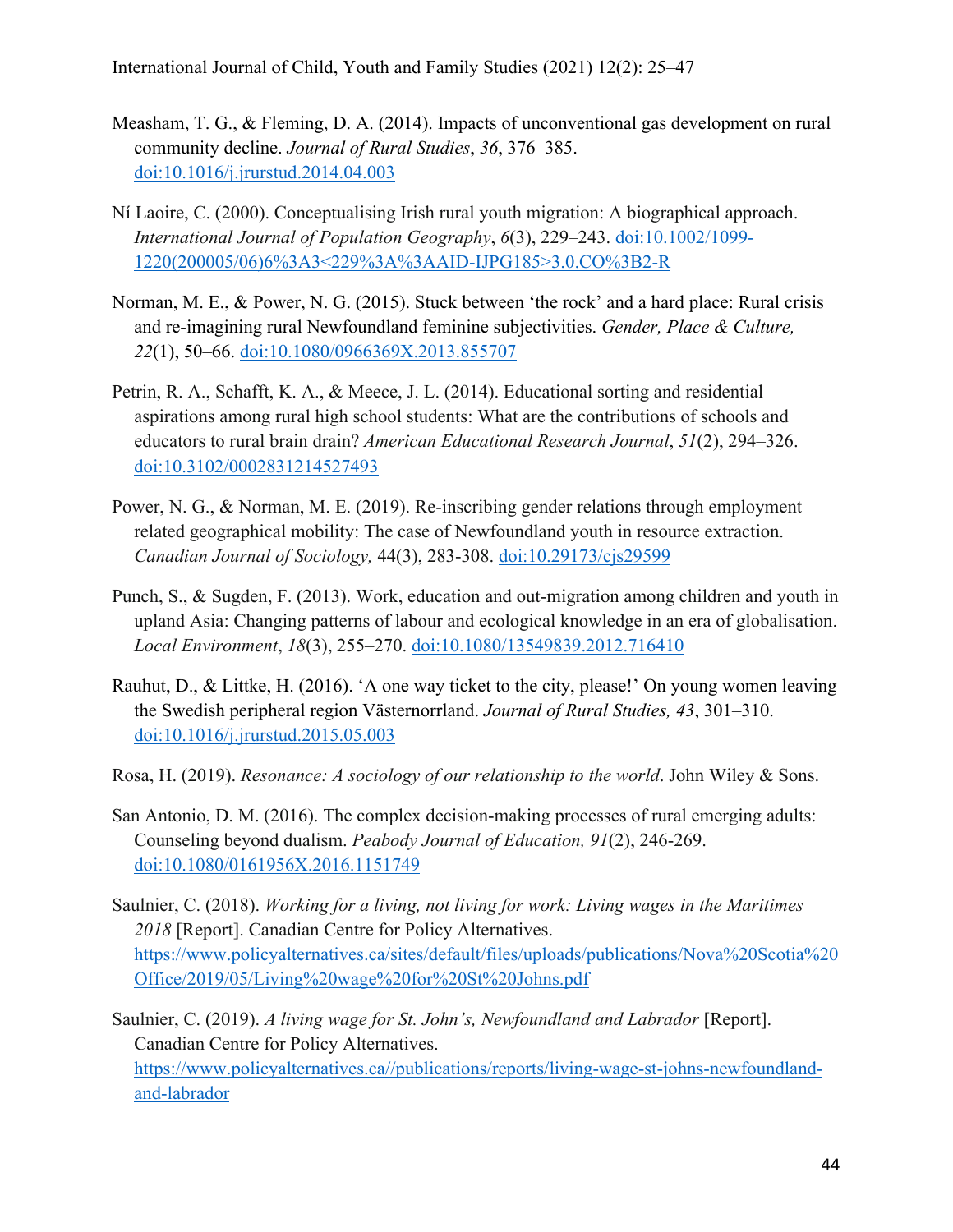- Measham, T. G., & Fleming, D. A. (2014). Impacts of unconventional gas development on rural community decline. *Journal of Rural Studies*, *36*, 376–385. doi:10.1016/j.jrurstud.2014.04.003
- Ní Laoire, C. (2000). Conceptualising Irish rural youth migration: A biographical approach. *International Journal of Population Geography*, *6*(3), 229–243. doi:10.1002/1099- 1220(200005/06)6%3A3<229%3A%3AAID-IJPG185>3.0.CO%3B2-R
- Norman, M. E., & Power, N. G. (2015). Stuck between 'the rock' and a hard place: Rural crisis and re-imagining rural Newfoundland feminine subjectivities. *Gender, Place & Culture, 22*(1), 50–66. doi:10.1080/0966369X.2013.855707
- Petrin, R. A., Schafft, K. A., & Meece, J. L. (2014). Educational sorting and residential aspirations among rural high school students: What are the contributions of schools and educators to rural brain drain? *American Educational Research Journal*, *51*(2), 294–326. doi:10.3102/0002831214527493
- Power, N. G., & Norman, M. E. (2019). Re-inscribing gender relations through employment related geographical mobility: The case of Newfoundland youth in resource extraction. *Canadian Journal of Sociology,* 44(3), 283-308. doi:10.29173/cjs29599
- Punch, S., & Sugden, F. (2013). Work, education and out-migration among children and youth in upland Asia: Changing patterns of labour and ecological knowledge in an era of globalisation. *Local Environment*, *18*(3), 255–270. doi:10.1080/13549839.2012.716410
- Rauhut, D., & Littke, H. (2016). 'A one way ticket to the city, please!' On young women leaving the Swedish peripheral region Västernorrland. *Journal of Rural Studies, 43*, 301–310. doi:10.1016/j.jrurstud.2015.05.003
- Rosa, H. (2019). *Resonance: A sociology of our relationship to the world*. John Wiley & Sons.
- San Antonio, D. M. (2016). The complex decision-making processes of rural emerging adults: Counseling beyond dualism. *Peabody Journal of Education, 91*(2), 246-269. doi:10.1080/0161956X.2016.1151749
- Saulnier, C. (2018). *Working for a living, not living for work: Living wages in the Maritimes 2018* [Report]. Canadian Centre for Policy Alternatives. https://www.policyalternatives.ca/sites/default/files/uploads/publications/Nova%20Scotia%20 Office/2019/05/Living%20wage%20for%20St%20Johns.pdf
- Saulnier, C. (2019). *A living wage for St. John's, Newfoundland and Labrador* [Report]. Canadian Centre for Policy Alternatives. https://www.policyalternatives.ca//publications/reports/living-wage-st-johns-newfoundlandand-labrador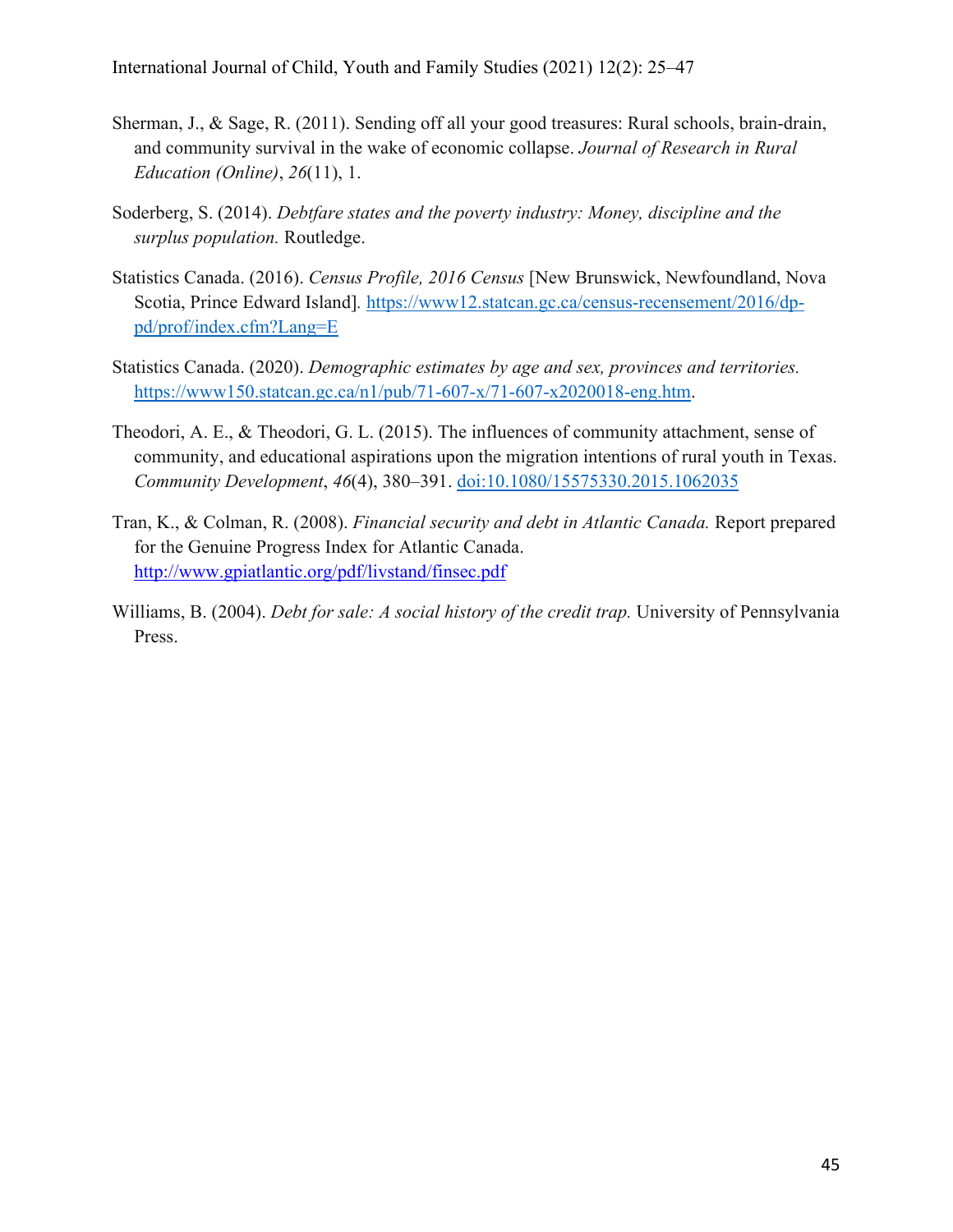- Sherman, J., & Sage, R. (2011). Sending off all your good treasures: Rural schools, brain-drain, and community survival in the wake of economic collapse. *Journal of Research in Rural Education (Online)*, *26*(11), 1.
- Soderberg, S. (2014). *Debtfare states and the poverty industry: Money, discipline and the surplus population.* Routledge.
- Statistics Canada. (2016). *Census Profile, 2016 Census* [New Brunswick, Newfoundland, Nova Scotia, Prince Edward Island]*.* https://www12.statcan.gc.ca/census-recensement/2016/dppd/prof/index.cfm?Lang=E
- Statistics Canada. (2020). *Demographic estimates by age and sex, provinces and territories.*  https://www150.statcan.gc.ca/n1/pub/71-607-x/71-607-x2020018-eng.htm.
- Theodori, A. E., & Theodori, G. L. (2015). The influences of community attachment, sense of community, and educational aspirations upon the migration intentions of rural youth in Texas. *Community Development*, *46*(4), 380–391. doi:10.1080/15575330.2015.1062035
- Tran, K., & Colman, R. (2008). *Financial security and debt in Atlantic Canada.* Report prepared for the Genuine Progress Index for Atlantic Canada. http://www.gpiatlantic.org/pdf/livstand/finsec.pdf
- Williams, B. (2004). *Debt for sale: A social history of the credit trap.* University of Pennsylvania Press.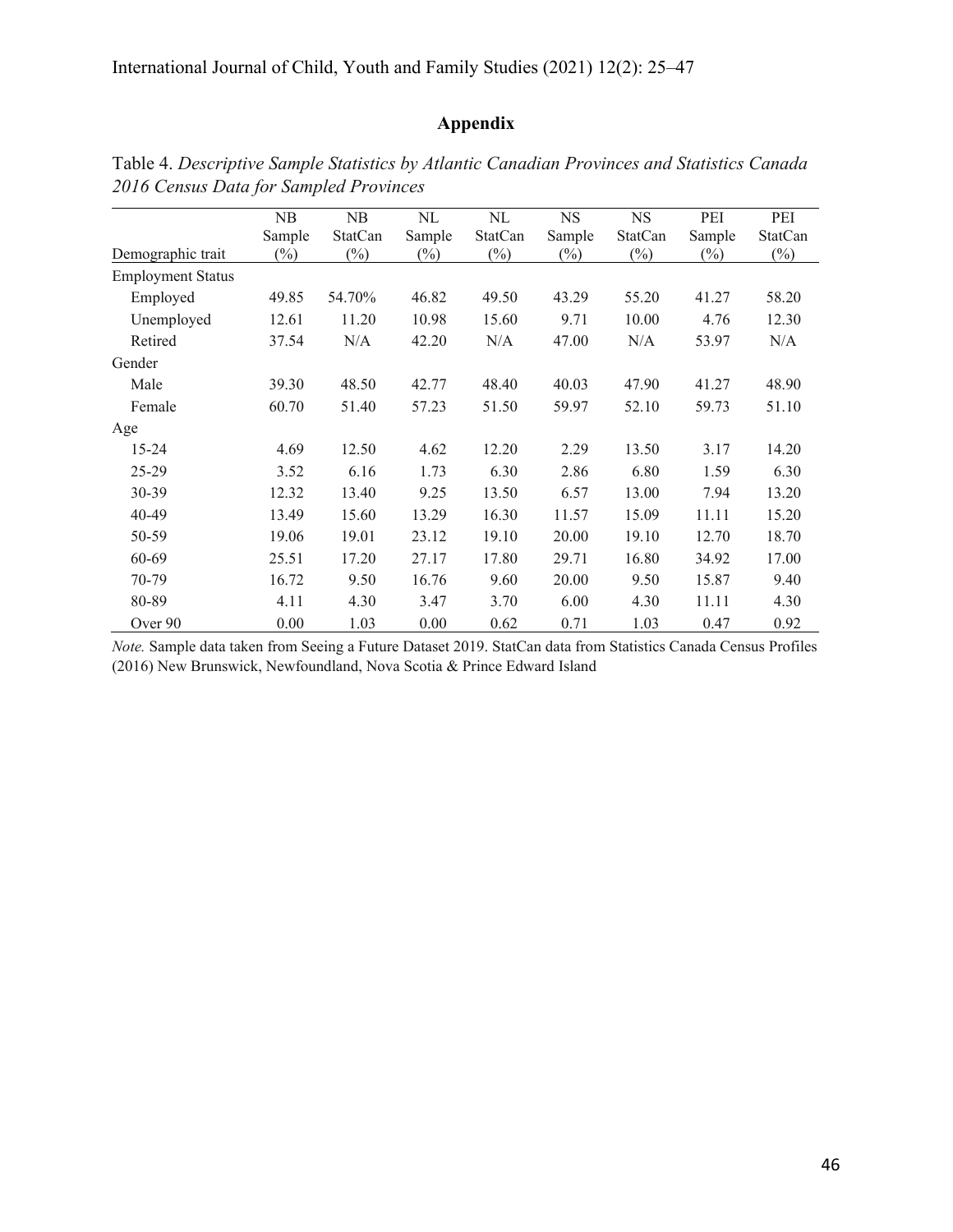# **Appendix**

|                          | NB     | NB      | NL     | NL             | <b>NS</b> | <b>NS</b>      | PEI    | PEI     |
|--------------------------|--------|---------|--------|----------------|-----------|----------------|--------|---------|
|                          | Sample | StatCan | Sample | <b>StatCan</b> | Sample    | <b>StatCan</b> | Sample | StatCan |
| Demographic trait        | $(\%)$ | $(\%)$  | $(\%)$ | $(\%)$         | $(\%)$    | $(\%)$         | $(\%)$ | $(\%)$  |
| <b>Employment Status</b> |        |         |        |                |           |                |        |         |
| Employed                 | 49.85  | 54.70%  | 46.82  | 49.50          | 43.29     | 55.20          | 41.27  | 58.20   |
| Unemployed               | 12.61  | 11.20   | 10.98  | 15.60          | 9.71      | 10.00          | 4.76   | 12.30   |
| Retired                  | 37.54  | N/A     | 42.20  | N/A            | 47.00     | N/A            | 53.97  | N/A     |
| Gender                   |        |         |        |                |           |                |        |         |
| Male                     | 39.30  | 48.50   | 42.77  | 48.40          | 40.03     | 47.90          | 41.27  | 48.90   |
| Female                   | 60.70  | 51.40   | 57.23  | 51.50          | 59.97     | 52.10          | 59.73  | 51.10   |
| Age                      |        |         |        |                |           |                |        |         |
| $15 - 24$                | 4.69   | 12.50   | 4.62   | 12.20          | 2.29      | 13.50          | 3.17   | 14.20   |
| 25-29                    | 3.52   | 6.16    | 1.73   | 6.30           | 2.86      | 6.80           | 1.59   | 6.30    |
| 30-39                    | 12.32  | 13.40   | 9.25   | 13.50          | 6.57      | 13.00          | 7.94   | 13.20   |
| 40-49                    | 13.49  | 15.60   | 13.29  | 16.30          | 11.57     | 15.09          | 11.11  | 15.20   |
| 50-59                    | 19.06  | 19.01   | 23.12  | 19.10          | 20.00     | 19.10          | 12.70  | 18.70   |
| 60-69                    | 25.51  | 17.20   | 27.17  | 17.80          | 29.71     | 16.80          | 34.92  | 17.00   |
| 70-79                    | 16.72  | 9.50    | 16.76  | 9.60           | 20.00     | 9.50           | 15.87  | 9.40    |
| 80-89                    | 4.11   | 4.30    | 3.47   | 3.70           | 6.00      | 4.30           | 11.11  | 4.30    |
| Over 90                  | 0.00   | 1.03    | 0.00   | 0.62           | 0.71      | 1.03           | 0.47   | 0.92    |

Table 4. *Descriptive Sample Statistics by Atlantic Canadian Provinces and Statistics Canada 2016 Census Data for Sampled Provinces*

*Note.* Sample data taken from Seeing a Future Dataset 2019. StatCan data from Statistics Canada Census Profiles (2016) New Brunswick, Newfoundland, Nova Scotia & Prince Edward Island